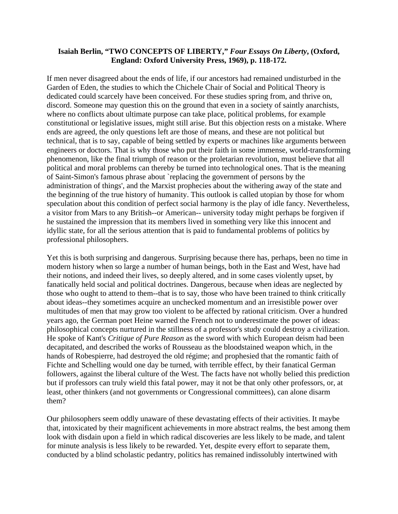# **Isaiah Berlin, "TWO CONCEPTS OF LIBERTY,"** *Four Essays On Liberty***, (Oxford, England: Oxford University Press, 1969), p. 118-172.**

If men never disagreed about the ends of life, if our ancestors had remained undisturbed in the Garden of Eden, the studies to which the Chichele Chair of Social and Political Theory is dedicated could scarcely have been conceived. For these studies spring from, and thrive on, discord. Someone may question this on the ground that even in a society of saintly anarchists, where no conflicts about ultimate purpose can take place, political problems, for example constitutional or legislative issues, might still arise. But this objection rests on a mistake. Where ends are agreed, the only questions left are those of means, and these are not political but technical, that is to say, capable of being settled by experts or machines like arguments between engineers or doctors. That is why those who put their faith in some immense, world-transforming phenomenon, like the final triumph of reason or the proletarian revolution, must believe that all political and moral problems can thereby be turned into technological ones. That is the meaning of Saint-Simon's famous phrase about `replacing the government of persons by the administration of things', and the Marxist prophecies about the withering away of the state and the beginning of the true history of humanity. This outlook is called utopian by those for whom speculation about this condition of perfect social harmony is the play of idle fancy. Nevertheless, a visitor from Mars to any British--or American-- university today might perhaps be forgiven if he sustained the impression that its members lived in something very like this innocent and idyllic state, for all the serious attention that is paid to fundamental problems of politics by professional philosophers.

Yet this is both surprising and dangerous. Surprising because there has, perhaps, been no time in modern history when so large a number of human beings, both in the East and West, have had their notions, and indeed their lives, so deeply altered, and in some cases violently upset, by fanatically held social and political doctrines. Dangerous, because when ideas are neglected by those who ought to attend to them--that is to say, those who have been trained to think critically about ideas--they sometimes acquire an unchecked momentum and an irresistible power over multitudes of men that may grow too violent to be affected by rational criticism. Over a hundred years ago, the German poet Heine warned the French not to underestimate the power of ideas: philosophical concepts nurtured in the stillness of a professor's study could destroy a civilization. He spoke of Kant's *Critique of Pure Reason* as the sword with which European deism had been decapitated, and described the works of Rousseau as the bloodstained weapon which, in the hands of Robespierre, had destroyed the old régime; and prophesied that the romantic faith of Fichte and Schelling would one day be turned, with terrible effect, by their fanatical German followers, against the liberal culture of the West. The facts have not wholly belied this prediction but if professors can truly wield this fatal power, may it not be that only other professors, or, at least, other thinkers (and not governments or Congressional committees), can alone disarm them?

Our philosophers seem oddly unaware of these devastating effects of their activities. It maybe that, intoxicated by their magnificent achievements in more abstract realms, the best among them look with disdain upon a field in which radical discoveries are less likely to be made, and talent for minute analysis is less likely to be rewarded. Yet, despite every effort to separate them, conducted by a blind scholastic pedantry, politics has remained indissolubly intertwined with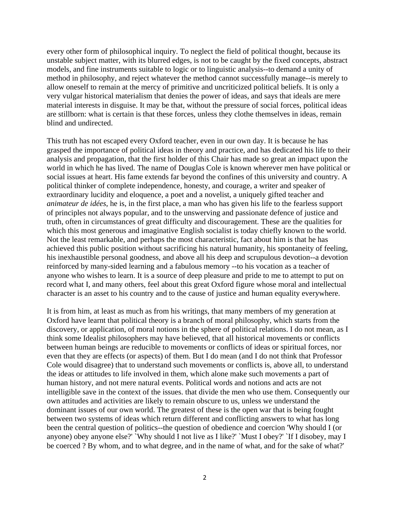every other form of philosophical inquiry. To neglect the field of political thought, because its unstable subject matter, with its blurred edges, is not to be caught by the fixed concepts, abstract models, and fine instruments suitable to logic or to linguistic analysis--to demand a unity of method in philosophy, and reject whatever the method cannot successfully manage--is merely to allow oneself to remain at the mercy of primitive and uncriticized political beliefs. It is only a very vulgar historical materialism that denies the power of ideas, and says that ideals are mere material interests in disguise. It may be that, without the pressure of social forces, political ideas are stillborn: what is certain is that these forces, unless they clothe themselves in ideas, remain blind and undirected.

This truth has not escaped every Oxford teacher, even in our own day. It is because he has grasped the importance of political ideas in theory and practice, and has dedicated his life to their analysis and propagation, that the first holder of this Chair has made so great an impact upon the world in which he has lived. The name of Douglas Cole is known wherever men have political or social issues at heart. His fame extends far beyond the confines of this university and country. A political thinker of complete independence, honesty, and courage, a writer and speaker of extraordinary lucidity and eloquence, a poet and a novelist, a uniquely gifted teacher and *animateur de idées*, he is, in the first place, a man who has given his life to the fearless support of principles not always popular, and to the unswerving and passionate defence of justice and truth, often in circumstances of great difficulty and discouragement. These are the qualities for which this most generous and imaginative English socialist is today chiefly known to the world. Not the least remarkable, and perhaps the most characteristic, fact about him is that he has achieved this public position without sacrificing his natural humanity, his spontaneity of feeling, his inexhaustible personal goodness, and above all his deep and scrupulous devotion--a devotion reinforced by many-sided learning and a fabulous memory --to his vocation as a teacher of anyone who wishes to learn. It is a source of deep pleasure and pride to me to attempt to put on record what I, and many others, feel about this great Oxford figure whose moral and intellectual character is an asset to his country and to the cause of justice and human equality everywhere.

It is from him, at least as much as from his writings, that many members of my generation at Oxford have learnt that political theory is a branch of moral philosophy, which starts from the discovery, or application, of moral notions in the sphere of political relations. I do not mean, as I think some Idealist philosophers may have believed, that all historical movements or conflicts between human beings are reducible to movements or conflicts of ideas or spiritual forces, nor even that they are effects (or aspects) of them. But I do mean (and I do not think that Professor Cole would disagree) that to understand such movements or conflicts is, above all, to understand the ideas or attitudes to life involved in them, which alone make such movements a part of human history, and not mere natural events. Political words and notions and acts are not intelligible save in the context of the issues. that divide the men who use them. Consequently our own attitudes and activities are likely to remain obscure to us, unless we understand the dominant issues of our own world. The greatest of these is the open war that is being fought between two systems of ideas which return different and conflicting answers to what has long been the central question of politics--the question of obedience and coercion 'Why should I (or anyone) obey anyone else?' `Why should I not live as I like?' `Must I obey?' `If I disobey, may I be coerced ? By whom, and to what degree, and in the name of what, and for the sake of what?'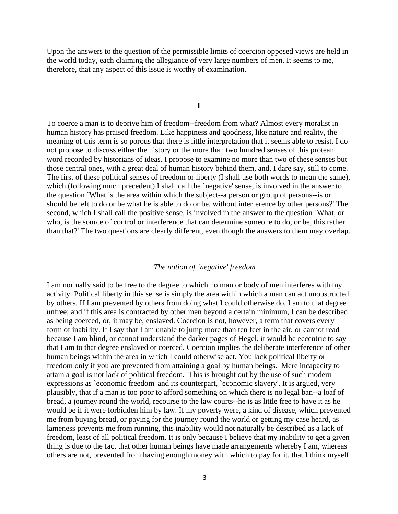Upon the answers to the question of the permissible limits of coercion opposed views are held in the world today, each claiming the allegiance of very large numbers of men. It seems to me, therefore, that any aspect of this issue is worthy of examination.

#### **I**

To coerce a man is to deprive him of freedom--freedom from what? Almost every moralist in human history has praised freedom. Like happiness and goodness, like nature and reality, the meaning of this term is so porous that there is little interpretation that it seems able to resist. I do not propose to discuss either the history or the more than two hundred senses of this protean word recorded by historians of ideas. I propose to examine no more than two of these senses but those central ones, with a great deal of human history behind them, and, I dare say, still to come. The first of these political senses of freedom or liberty (I shall use both words to mean the same), which (following much precedent) I shall call the `negative' sense, is involved in the answer to the question `What is the area within which the subject--a person or group of persons--is or should be left to do or be what he is able to do or be, without interference by other persons?' The second, which I shall call the positive sense, is involved in the answer to the question `What, or who, is the source of control or interference that can determine someone to do, or be, this rather than that?' The two questions are clearly different, even though the answers to them may overlap.

### *The notion of `negative' freedom*

I am normally said to be free to the degree to which no man or body of men interferes with my activity. Political liberty in this sense is simply the area within which a man can act unobstructed by others. If I am prevented by others from doing what I could otherwise do, I am to that degree unfree; and if this area is contracted by other men beyond a certain minimum, I can be described as being coerced, or, it may be, enslaved. Coercion is not, however, a term that covers every form of inability. If I say that I am unable to jump more than ten feet in the air, or cannot read because I am blind, or cannot understand the darker pages of Hegel, it would be eccentric to say that I am to that degree enslaved or coerced. Coercion implies the deliberate interference of other human beings within the area in which I could otherwise act. You lack political liberty or freedom only if you are prevented from attaining a goal by human beings. Mere incapacity to attain a goal is not lack of political freedom. This is brought out by the use of such modern expressions as `economic freedom' and its counterpart, `economic slavery'. It is argued, very plausibly, that if a man is too poor to afford something on which there is no legal ban--a loaf of bread, a journey round the world, recourse to the law courts--he is as little free to have it as he would be if it were forbidden him by law. If my poverty were, a kind of disease, which prevented me from buying bread, or paying for the journey round the world or getting my case heard, as lameness prevents me from running, this inability would not naturally be described as a lack of freedom, least of all political freedom. It is only because I believe that my inability to get a given thing is due to the fact that other human beings have made arrangements whereby I am, whereas others are not, prevented from having enough money with which to pay for it, that I think myself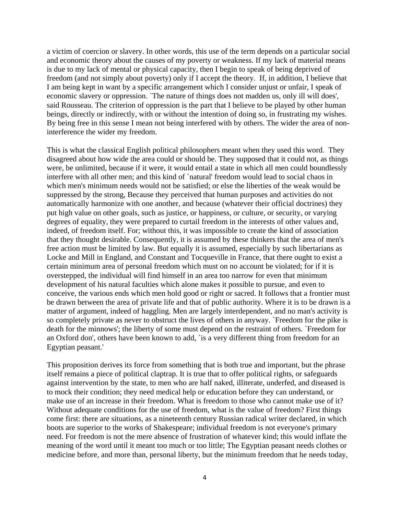a victim of coercion or slavery. In other words, this use of the term depends on a particular social and economic theory about the causes of my poverty or weakness. If my lack of material means is due to my lack of mental or physical capacity, then I begin to speak of being deprived of freedom (and not simply about poverty) only if I accept the theory. If, in addition, I believe that I am being kept in want by a specific arrangement which I consider unjust or unfair, I speak of economic slavery or oppression. `The nature of things does not madden us, only ill will does', said Rousseau. The criterion of oppression is the part that I believe to be played by other human beings, directly or indirectly, with or without the intention of doing so, in frustrating my wishes. By being free in this sense I mean not being interfered with by others. The wider the area of noninterference the wider my freedom.

This is what the classical English political philosophers meant when they used this word. They disagreed about how wide the area could or should be. They supposed that it could not, as things were, be unlimited, because if it were, it would entail a state in which all men could boundlessly interfere with all other men; and this kind of `natural' freedom would lead to social chaos in which men's minimum needs would not be satisfied; or else the liberties of the weak would be suppressed by the strong, Because they perceived that human purposes and activities do not automatically harmonize with one another, and because (whatever their official doctrines) they put high value on other goals, such as justice, or happiness, or culture, or security, or varying degrees of equality, they were prepared to curtail freedom in the interests of other values and, indeed, of freedom itself. For; without this, it was impossible to create the kind of association that they thought desirable. Consequently, it is assumed by these thinkers that the area of men's free action must be limited by law. But equally it is assumed, especially by such libertarians as Locke and Mill in England, and Constant and Tocqueville in France, that there ought to exist a certain minimum area of personal freedom which must on no account be violated; for if it is overstepped, the individual will find himself in an area too narrow for even that minimum development of his natural faculties which alone makes it possible to pursue, and even to conceive, the various ends which men hold good or right or sacred. It follows that a frontier must be drawn between the area of private life and that of public authority. Where it is to be drawn is a matter of argument, indeed of haggling. Men are largely interdependent, and no man's activity is so completely private as never to obstruct the lives of others in anyway. `Freedom for the pike is death for the minnows'; the liberty of some must depend on the restraint of others. `Freedom for an Oxford don', others have been known to add, `is a very different thing from freedom for an Egyptian peasant.'

This proposition derives its force from something that is both true and important, but the phrase itself remains a piece of political claptrap. It is true that to offer political rights, or safeguards against intervention by the state, to men who are half naked, illiterate, underfed, and diseased is to mock their condition; they need medical help or education before they can understand, or make use of an increase in their freedom. What is freedom to those who cannot make use of it? Without adequate conditions for the use of freedom, what is the value of freedom? First things come first: there are situations, as a nineteenth century Russian radical writer declared, in which boots are superior to the works of Shakespeare; individual freedom is not everyone's primary need. For freedom is not the mere absence of frustration of whatever kind; this would inflate the meaning of the word until it meant too much or too little; The Egyptian peasant needs clothes or medicine before, and more than, personal liberty, but the minimum freedom that he needs today,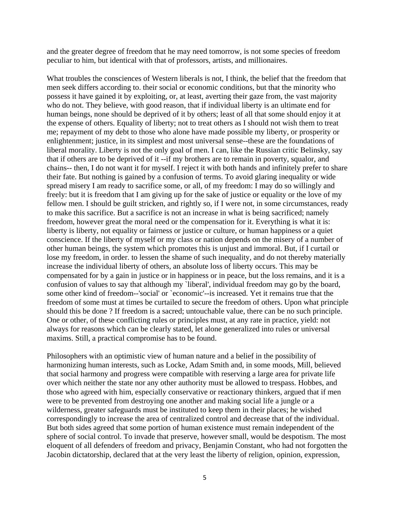and the greater degree of freedom that he may need tomorrow, is not some species of freedom peculiar to him, but identical with that of professors, artists, and millionaires.

What troubles the consciences of Western liberals is not, I think, the belief that the freedom that men seek differs according to. their social or economic conditions, but that the minority who possess it have gained it by exploiting, or, at least, averting their gaze from, the vast majority who do not. They believe, with good reason, that if individual liberty is an ultimate end for human beings, none should be deprived of it by others; least of all that some should enjoy it at the expense of others. Equality of liberty; not to treat others as I should not wish them to treat me; repayment of my debt to those who alone have made possible my liberty, or prosperity or enlightenment; justice, in its simplest and most universal sense--these are the foundations of liberal morality. Liberty is not the only goal of men. I can, like the Russian critic Belinsky, say that if others are to be deprived of it --if my brothers are to remain in poverty, squalor, and chains-- then, I do not want it for myself. I reject it with both hands and infinitely prefer to share their fate. But nothing is gained by a confusion of terms. To avoid glaring inequality or wide spread misery I am ready to sacrifice some, or all, of my freedom: I may do so willingly and freely: but it is freedom that I am giving up for the sake of justice or equality or the love of my fellow men. I should be guilt stricken, and rightly so, if I were not, in some circumstances, ready to make this sacrifice. But a sacrifice is not an increase in what is being sacrificed; namely freedom, however great the moral need or the compensation for it. Everything is what it is: liberty is liberty, not equality or fairness or justice or culture, or human happiness or a quiet conscience. If the liberty of myself or my class or nation depends on the misery of a number of other human beings, the system which promotes this is unjust and immoral. But, if I curtail or lose my freedom, in order. to lessen the shame of such inequality, and do not thereby materially increase the individual liberty of others, an absolute loss of liberty occurs. This may be compensated for by a gain in justice or in happiness or in peace, but the loss remains, and it is a confusion of values to say that although my `liberal', individual freedom may go by the board, some other kind of freedom--'social' or `economic'--is increased. Yet it remains true that the freedom of some must at times be curtailed to secure the freedom of others. Upon what principle should this be done ? If freedom is a sacred; untouchable value, there can be no such principle. One or other, of these conflicting rules or principles must, at any rate in practice, yield: not always for reasons which can be clearly stated, let alone generalized into rules or universal maxims. Still, a practical compromise has to be found.

Philosophers with an optimistic view of human nature and a belief in the possibility of harmonizing human interests, such as Locke, Adam Smith and, in some moods, Mill, believed that social harmony and progress were compatible with reserving a large area for private life over which neither the state nor any other authority must be allowed to trespass. Hobbes, and those who agreed with him, especially conservative or reactionary thinkers, argued that if men were to be prevented from destroying one another and making social life a jungle or a wilderness, greater safeguards must be instituted to keep them in their places; he wished correspondingly to increase the area of centralized control and decrease that of the individual. But both sides agreed that some portion of human existence must remain independent of the sphere of social control. To invade that preserve, however small, would be despotism. The most eloquent of all defenders of freedom and privacy, Benjamin Constant, who had not forgotten the Jacobin dictatorship, declared that at the very least the liberty of religion, opinion, expression,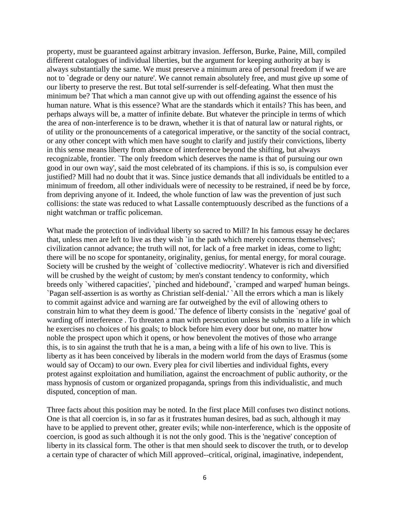property, must be guaranteed against arbitrary invasion. Jefferson, Burke, Paine, Mill, compiled different catalogues of individual liberties, but the argument for keeping authority at bay is always substantially the same. We must preserve a minimum area of personal freedom if we are not to `degrade or deny our nature'. We cannot remain absolutely free, and must give up some of our liberty to preserve the rest. But total self-surrender is self-defeating. What then must the minimum be? That which a man cannot give up with out offending against the essence of his human nature. What is this essence? What are the standards which it entails? This has been, and perhaps always will be, a matter of infinite debate. But whatever the principle in terms of which the area of non-interference is to be drawn, whether it is that of natural law or natural rights, or of utility or the pronouncements of a categorical imperative, or the sanctity of the social contract, or any other concept with which men have sought to clarify and justify their convictions, liberty in this sense means liberty from absence of interference beyond the shifting, but always recognizable, frontier. `The only freedom which deserves the name is that of pursuing our own good in our own way', said the most celebrated of its champions. if this is so, is compulsion ever justified? Mill had no doubt that it was. Since justice demands that all individuals be entitled to a minimum of freedom, all other individuals were of necessity to be restrained, if need be by force, from depriving anyone of it. Indeed, the whole function of law was the prevention of just such collisions: the state was reduced to what Lassalle contemptuously described as the functions of a night watchman or traffic policeman.

What made the protection of individual liberty so sacred to Mill? In his famous essay he declares that, unless men are left to live as they wish `in the path which merely concerns themselves'; civilization cannot advance; the truth will not, for lack of a free market in ideas, come to light; there will be no scope for spontaneity, originality, genius, for mental energy, for moral courage. Society will be crushed by the weight of `collective mediocrity'. Whatever is rich and diversified will be crushed by the weight of custom; by men's constant tendency to conformity, which breeds only `withered capacities', `pinched and hidebound', `cramped and warped' human beings. `Pagan self-assertion is as worthy as Christian self-denial.' `All the errors which a man is likely to commit against advice and warning are far outweighed by the evil of allowing others to constrain him to what they deem is good.' The defence of liberty consists in the `negative' goal of warding off interference . To threaten a man with persecution unless he submits to a life in which he exercises no choices of his goals; to block before him every door but one, no matter how noble the prospect upon which it opens, or how benevolent the motives of those who arrange this, is to sin against the truth that he is a man, a being with a life of his own to live. This is liberty as it has been conceived by liberals in the modern world from the days of Erasmus (some would say of Occam) to our own. Every plea for civil liberties and individual fights, every protest against exploitation and humiliation, against the encroachment of public authority, or the mass hypnosis of custom or organized propaganda, springs from this individualistic, and much disputed, conception of man.

Three facts about this position may be noted. In the first place Mill confuses two distinct notions. One is that all coercion is, in so far as it frustrates human desires, bad as such, although it may have to be applied to prevent other, greater evils; while non-interference, which is the opposite of coercion, is good as such although it is not the only good. This is the 'negative' conception of liberty in its classical form. The other is that men should seek to discover the truth, or to develop a certain type of character of which Mill approved--critical, original, imaginative, independent,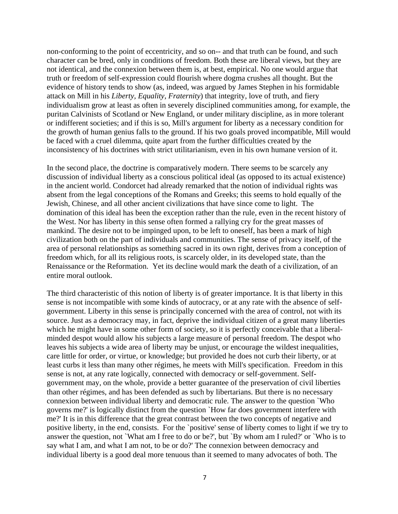non-conforming to the point of eccentricity, and so on-- and that truth can be found, and such character can be bred, only in conditions of freedom. Both these are liberal views, but they are not identical, and the connexion between them is, at best, empirical. No one would argue that truth or freedom of self-expression could flourish where dogma crushes all thought. But the evidence of history tends to show (as, indeed, was argued by James Stephen in his formidable attack on Mill in his *Liberty, Equality, Fraternity*) that integrity, love of truth, and fiery individualism grow at least as often in severely disciplined communities among, for example, the puritan Calvinists of Scotland or New England, or under military discipline, as in more tolerant or indifferent societies; and if this is so, Mill's argument for liberty as a necessary condition for the growth of human genius falls to the ground. If his two goals proved incompatible, Mill would be faced with a cruel dilemma, quite apart from the further difficulties created by the inconsistency of his doctrines with strict utilitarianism, even in his own humane version of it.

In the second place, the doctrine is comparatively modern. There seems to be scarcely any discussion of individual liberty as a conscious political ideal (as opposed to its actual existence) in the ancient world. Condorcet had already remarked that the notion of individual rights was absent from the legal conceptions of the Romans and Greeks; this seems to hold equally of the Jewish, Chinese, and all other ancient civilizations that have since come to light. The domination of this ideal has been the exception rather than the rule, even in the recent history of the West. Nor has liberty in this sense often formed a rallying cry for the great masses of mankind. The desire not to be impinged upon, to be left to oneself, has been a mark of high civilization both on the part of individuals and communities. The sense of privacy itself, of the area of personal relationships as something sacred in its own right, derives from a conception of freedom which, for all its religious roots, is scarcely older, in its developed state, than the Renaissance or the Reformation. Yet its decline would mark the death of a civilization, of an entire moral outlook.

The third characteristic of this notion of liberty is of greater importance. It is that liberty in this sense is not incompatible with some kinds of autocracy, or at any rate with the absence of selfgovernment. Liberty in this sense is principally concerned with the area of control, not with its source. Just as a democracy may, in fact, deprive the individual citizen of a great many liberties which he might have in some other form of society, so it is perfectly conceivable that a liberalminded despot would allow his subjects a large measure of personal freedom. The despot who leaves his subjects a wide area of liberty may be unjust, or encourage the wildest inequalities, care little for order, or virtue, or knowledge; but provided he does not curb their liberty, or at least curbs it less than many other régimes, he meets with Mill's specification. Freedom in this sense is not, at any rate logically, connected with democracy or self-government. Selfgovernment may, on the whole, provide a better guarantee of the preservation of civil liberties than other régimes, and has been defended as such by libertarians. But there is no necessary connexion between individual liberty and democratic rule. The answer to the question `Who governs me?' is logically distinct from the question `How far does government interfere with me?' It is in this difference that the great contrast between the two concepts of negative and positive liberty, in the end, consists. For the `positive' sense of liberty comes to light if we try to answer the question, not `What am I free to do or be?', but `By whom am I ruled?' or `Who is to say what I am, and what I am not, to be or do?' The connexion between democracy and individual liberty is a good deal more tenuous than it seemed to many advocates of both. The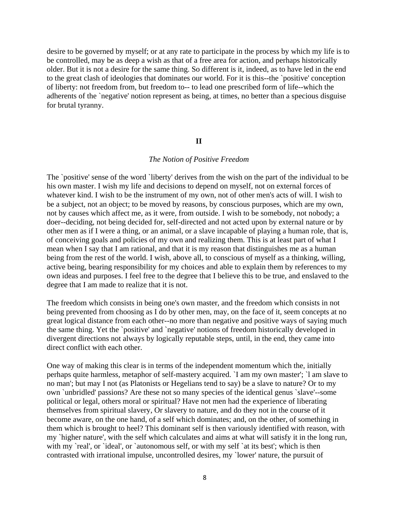desire to be governed by myself; or at any rate to participate in the process by which my life is to be controlled, may be as deep a wish as that of a free area for action, and perhaps historically older. But it is not a desire for the same thing. So different is it, indeed, as to have led in the end to the great clash of ideologies that dominates our world. For it is this--the `positive' conception of liberty: not freedom from, but freedom to-- to lead one prescribed form of life--which the adherents of the `negative' notion represent as being, at times, no better than a specious disguise for brutal tyranny.

### **II**

# *The Notion of Positive Freedom*

The `positive' sense of the word `liberty' derives from the wish on the part of the individual to be his own master. I wish my life and decisions to depend on myself, not on external forces of whatever kind. I wish to be the instrument of my own, not of other men's acts of will. I wish to be a subject, not an object; to be moved by reasons, by conscious purposes, which are my own, not by causes which affect me, as it were, from outside. I wish to be somebody, not nobody; a doer--deciding, not being decided for, self-directed and not acted upon by external nature or by other men as if I were a thing, or an animal, or a slave incapable of playing a human role, that is, of conceiving goals and policies of my own and realizing them. This is at least part of what I mean when I say that I am rational, and that it is my reason that distinguishes me as a human being from the rest of the world. I wish, above all, to conscious of myself as a thinking, willing, active being, bearing responsibility for my choices and able to explain them by references to my own ideas and purposes. I feel free to the degree that I believe this to be true, and enslaved to the degree that I am made to realize that it is not.

The freedom which consists in being one's own master, and the freedom which consists in not being prevented from choosing as I do by other men, may, on the face of it, seem concepts at no great logical distance from each other--no more than negative and positive ways of saying much the same thing. Yet the `positive' and `negative' notions of freedom historically developed in divergent directions not always by logically reputable steps, until, in the end, they came into direct conflict with each other.

One way of making this clear is in terms of the independent momentum which the, initially perhaps quite harmless, metaphor of self-mastery acquired. `I am my own master'; `l am slave to no man'; but may I not (as Platonists or Hegelians tend to say) be a slave to nature? Or to my own `unbridled' passions? Are these not so many species of the identical genus `slave'--some political or legal, others moral or spiritual? Have not men had the experience of liberating themselves from spiritual slavery, Or slavery to nature, and do they not in the course of it become aware, on the one hand, of a self which dominates; and, on the other, of something in them which is brought to heel? This dominant self is then variously identified with reason, with my `higher nature', with the self which calculates and aims at what will satisfy it in the long run, with my 'real', or 'ideal', or 'autonomous self, or with my self 'at its best'; which is then contrasted with irrational impulse, uncontrolled desires, my `lower' nature, the pursuit of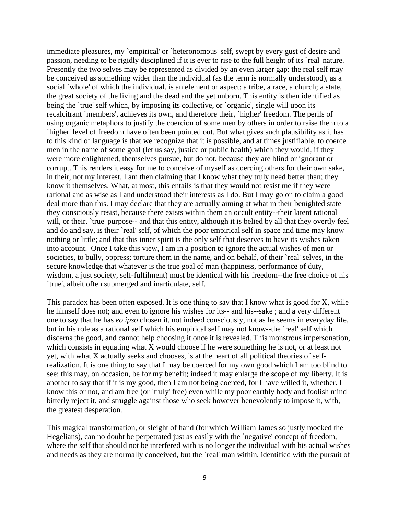immediate pleasures, my `empirical' or `heteronomous' self, swept by every gust of desire and passion, needing to be rigidly disciplined if it is ever to rise to the full height of its `real' nature. Presently the two selves may be represented as divided by an even larger gap: the real self may be conceived as something wider than the individual (as the term is normally understood), as a social `whole' of which the individual. is an element or aspect: a tribe, a race, a church; a state, the great society of the living and the dead and the yet unborn. This entity is then identified as being the 'true' self which, by imposing its collective, or 'organic', single will upon its recalcitrant `members', achieves its own, and therefore their, `higher' freedom. The perils of using organic metaphors to justify the coercion of some men by others in order to raise them to a `higher' level of freedom have often been pointed out. But what gives such plausibility as it has to this kind of language is that we recognize that it is possible, and at times justifiable, to coerce men in the name of some goal (let us say, justice or public health) which they would, if they were more enlightened, themselves pursue, but do not, because they are blind or ignorant or corrupt. This renders it easy for me to conceive of myself as coercing others for their own sake, in their, not my interest. I am then claiming that I know what they truly need better than; they know it themselves. What, at most, this entails is that they would not resist me if they were rational and as wise as I and understood their interests as I do. But I may go on to claim a good deal more than this. I may declare that they are actually aiming at what in their benighted state they consciously resist, because there exists within them an occult entity--their latent rational will, or their. `true' purpose-- and that this entity, although it is belied by all that they overtly feel and do and say, is their `real' self, of which the poor empirical self in space and time may know nothing or little; and that this inner spirit is the only self that deserves to have its wishes taken into account. Once I take this view, I am in a position to ignore the actual wishes of men or societies, to bully, oppress; torture them in the name, and on behalf, of their `real' selves, in the secure knowledge that whatever is the true goal of man (happiness, performance of duty, wisdom, a just society, self-fulfilment) must be identical with his freedom--the free choice of his `true', albeit often submerged and inarticulate, self.

This paradox has been often exposed. It is one thing to say that I know what is good for X, while he himself does not; and even to ignore his wishes for its-- and his--sake ; and a very different one to say that he has *eo ipso* chosen it, not indeed consciously, not as he seems in everyday life, but in his role as a rational self which his empirical self may not know--the `real' self which discerns the good, and cannot help choosing it once it is revealed. This monstrous impersonation, which consists in equating what X would choose if he were something he is not, or at least not yet, with what X actually seeks and chooses, is at the heart of all political theories of selfrealization. It is one thing to say that I may be coerced for my own good which I am too blind to see: this may, on occasion, be for my benefit; indeed it may enlarge the scope of my liberty. It is another to say that if it is my good, then I am not being coerced, for I have willed it, whether. I know this or not, and am free (or `truly' free) even while my poor earthly body and foolish mind bitterly reject it, and struggle against those who seek however benevolently to impose it, with, the greatest desperation.

This magical transformation, or sleight of hand (for which William James so justly mocked the Hegelians), can no doubt be perpetrated just as easily with the `negative' concept of freedom, where the self that should not be interfered with is no longer the individual with his actual wishes and needs as they are normally conceived, but the `real' man within, identified with the pursuit of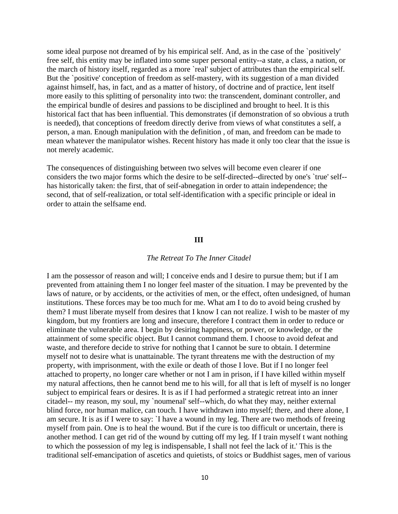some ideal purpose not dreamed of by his empirical self. And, as in the case of the `positively' free self, this entity may be inflated into some super personal entity--a state, a class, a nation, or the march of history itself, regarded as a more 'real' subject of attributes than the empirical self. But the `positive' conception of freedom as self-mastery, with its suggestion of a man divided against himself, has, in fact, and as a matter of history, of doctrine and of practice, lent itself more easily to this splitting of personality into two: the transcendent, dominant controller, and the empirical bundle of desires and passions to be disciplined and brought to heel. It is this historical fact that has been influential. This demonstrates (if demonstration of so obvious a truth is needed), that conceptions of freedom directly derive from views of what constitutes a self, a person, a man. Enough manipulation with the definition , of man, and freedom can be made to mean whatever the manipulator wishes. Recent history has made it only too clear that the issue is not merely academic.

The consequences of distinguishing between two selves will become even clearer if one considers the two major forms which the desire to be self-directed--directed by one's `true' self- has historically taken: the first, that of seif-abnegation in order to attain independence; the second, that of self-realization, or total self-identification with a specific principle or ideal in order to attain the selfsame end.

# **III**

# *The Retreat To The Inner Citadel*

I am the possessor of reason and will; I conceive ends and I desire to pursue them; but if I am prevented from attaining them I no longer feel master of the situation. I may be prevented by the laws of nature, or by accidents, or the activities of men, or the effect, often undesigned, of human institutions. These forces may be too much for me. What am I to do to avoid being crushed by them? I must liberate myself from desires that I know I can not realize. I wish to be master of my kingdom, but my frontiers are long and insecure, therefore I contract them in order to reduce or eliminate the vulnerable area. I begin by desiring happiness, or power, or knowledge, or the attainment of some specific object. But I cannot command them. I choose to avoid defeat and waste, and therefore decide to strive for nothing that I cannot be sure to obtain. I determine myself not to desire what is unattainable. The tyrant threatens me with the destruction of my property, with imprisonment, with the exile or death of those I love. But if I no longer feel attached to property, no longer care whether or not I am in prison, if I have killed within myself my natural affections, then he cannot bend me to his will, for all that is left of myself is no longer subject to empirical fears or desires. It is as if I had performed a strategic retreat into an inner citadel-- my reason, my soul, my `noumenal' self--which, do what they may, neither external blind force, nor human malice, can touch. I have withdrawn into myself; there, and there alone, I am secure. It is as if I were to say: `I have a wound in my leg. There are two methods of freeing myself from pain. One is to heal the wound. But if the cure is too difficult or uncertain, there is another method. I can get rid of the wound by cutting off my leg. If I train myself t want nothing to which the possession of my leg is indispensable, I shall not feel the lack of it.' This is the traditional self-emancipation of ascetics and quietists, of stoics or Buddhist sages, men of various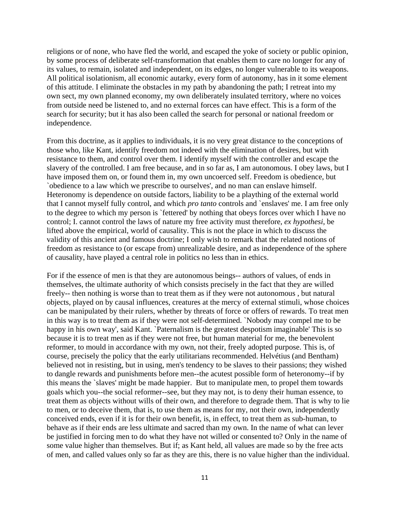religions or of none, who have fled the world, and escaped the yoke of society or public opinion, by some process of deliberate self-transformation that enables them to care no longer for any of its values, to remain, isolated and independent, on its edges, no longer vulnerable to its weapons. All political isolationism, all economic autarky, every form of autonomy, has in it some element of this attitude. I eliminate the obstacles in my path by abandoning the path; I retreat into my own sect, my own planned economy, my own deliberately insulated territory, where no voices from outside need be listened to, and no external forces can have effect. This is a form of the search for security; but it has also been called the search for personal or national freedom or independence.

From this doctrine, as it applies to individuals, it is no very great distance to the conceptions of those who, like Kant, identify freedom not indeed with the elimination of desires, but with resistance to them, and control over them. I identify myself with the controller and escape the slavery of the controlled. I am free because, and in so far as, I am autonomous. I obey laws, but I have imposed them on, or found them in, my own uncoerced self. Freedom is obedience, but `obedience to a law which we prescribe to ourselves', and no man can enslave himself. Heteronomy is dependence on outside factors, liability to be a plaything of the external world that I cannot myself fully control, and which *pro tanto* controls and `enslaves' me. I am free only to the degree to which my person is `fettered' by nothing that obeys forces over which I have no control; I. cannot control the laws of nature my free activity must therefore, *ex hypothesi*, be lifted above the empirical, world of causality. This is not the place in which to discuss the validity of this ancient and famous doctrine; I only wish to remark that the related notions of freedom as resistance to (or escape from) unrealizable desire, and as independence of the sphere of causality, have played a central role in politics no less than in ethics.

For if the essence of men is that they are autonomous beings-- authors of values, of ends in themselves, the ultimate authority of which consists precisely in the fact that they are willed freely-- then nothing is worse than to treat them as if they were not autonomous , but natural objects, played on by causal influences, creatures at the mercy of external stimuli, whose choices can be manipulated by their rulers, whether by threats of force or offers of rewards. To treat men in this way is to treat them as if they were not self-determined. `Nobody may compel me to be happy in his own way', said Kant. `Paternalism is the greatest despotism imaginable' This is so because it is to treat men as if they were not free, but human material for me, the benevolent reformer, to mould in accordance with my own, not their, freely adopted purpose. This is, of course, precisely the policy that the early utilitarians recommended. Helvétius (and Bentham) believed not in resisting, but in using, men's tendency to be slaves to their passions; they wished to dangle rewards and punishments before men--the acutest possible form of heteronomy--if by this means the `slaves' might be made happier. But to manipulate men, to propel them towards goals which you--the social reformer--see, but they may not, is to deny their human essence, to treat them as objects without wills of their own, and therefore to degrade them. That is why to lie to men, or to deceive them, that is, to use them as means for my, not their own, independently conceived ends, even if it is for their own benefit, is, in effect, to treat them as sub-human, to behave as if their ends are less ultimate and sacred than my own. In the name of what can lever be justified in forcing men to do what they have not willed or consented to? Only in the name of some value higher than themselves. But if; as Kant held, all values are made so by the free acts of men, and called values only so far as they are this, there is no value higher than the individual.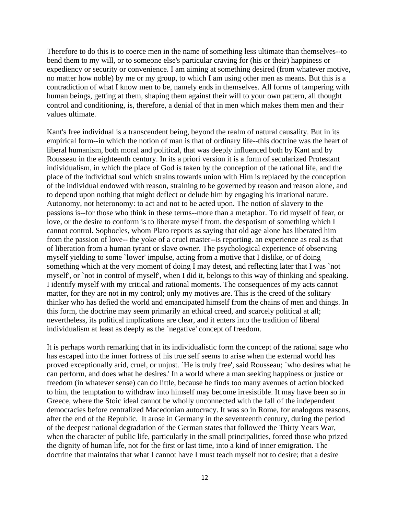Therefore to do this is to coerce men in the name of something less ultimate than themselves--to bend them to my will, or to someone else's particular craving for (his or their) happiness or expediency or security or convenience. I am aiming at something desired (from whatever motive, no matter how noble) by me or my group, to which I am using other men as means. But this is a contradiction of what I know men to be, namely ends in themselves. All forms of tampering with human beings, getting at them, shaping them against their will to your own pattern, all thought control and conditioning, is, therefore, a denial of that in men which makes them men and their values ultimate.

Kant's free individual is a transcendent being, beyond the realm of natural causality. But in its empirical form--in which the notion of man is that of ordinary life--this doctrine was the heart of liberal humanism, both moral and political, that was deeply influenced both by Kant and by Rousseau in the eighteenth century. In its a priori version it is a form of secularized Protestant individualism, in which the place of God is taken by the conception of the rational life, and the place of the individual soul which strains towards union with Him is replaced by the conception of the individual endowed with reason, straining to be governed by reason and reason alone, and to depend upon nothing that might deflect or delude him by engaging his irrational nature. Autonomy, not heteronomy: to act and not to be acted upon. The notion of slavery to the passions is--for those who think in these terms--more than a metaphor. To rid myself of fear, or love, or the desire to conform is to liberate myself from. the despotism of something which I cannot control. Sophocles, whom Plato reports as saying that old age alone has liberated him from the passion of love-- the yoke of a cruel master--is reporting. an experience as real as that of liberation from a human tyrant or slave owner. The psychological experience of observing myself yielding to some `lower' impulse, acting from a motive that I dislike, or of doing something which at the very moment of doing I may detest, and reflecting later that I was `not myself', or `not in control of myself', when I did it, belongs to this way of thinking and speaking. I identify myself with my critical and rational moments. The consequences of my acts cannot matter, for they are not in my control; only my motives are. This is the creed of the solitary thinker who has defied the world and emancipated himself from the chains of men and things. In this form, the doctrine may seem primarily an ethical creed, and scarcely political at all; nevertheless, its political implications are clear, and it enters into the tradition of liberal individualism at least as deeply as the `negative' concept of freedom.

It is perhaps worth remarking that in its individualistic form the concept of the rational sage who has escaped into the inner fortress of his true self seems to arise when the external world has proved exceptionally arid, cruel, or unjust. `He is truly free', said Rousseau; `who desires what he can perform, and does what he desires.' In a world where a man seeking happiness or justice or freedom (in whatever sense) can do little, because he finds too many avenues of action blocked to him, the temptation to withdraw into himself may become irresistible. It may have been so in Greece, where the Stoic ideal cannot be wholly unconnected with the fall of the independent democracies before centralized Macedonian autocracy. It was so in Rome, for analogous reasons, after the end of the Republic. It arose in Germany in the seventeenth century, during the period of the deepest national degradation of the German states that followed the Thirty Years War, when the character of public life, particularly in the small principalities, forced those who prized the dignity of human life, not for the first or last time, into a kind of inner emigration. The doctrine that maintains that what I cannot have I must teach myself not to desire; that a desire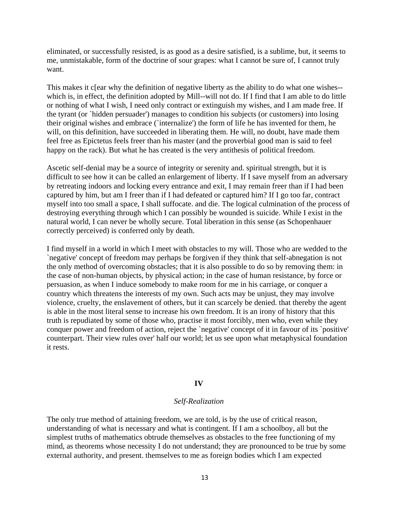eliminated, or successfully resisted, is as good as a desire satisfied, is a sublime, but, it seems to me, unmistakable, form of the doctrine of sour grapes: what I cannot be sure of, I cannot truly want.

This makes it c[ear why the definition of negative liberty as the ability to do what one wishes- which is, in effect, the definition adopted by Mill--will not do. If I find that I am able to do little or nothing of what I wish, I need only contract or extinguish my wishes, and I am made free. If the tyrant (or `hidden persuader') manages to condition his subjects (or customers) into losing their original wishes and embrace (`internalize') the form of life he has invented for them, he will, on this definition, have succeeded in liberating them. He will, no doubt, have made them feel free as Epictetus feels freer than his master (and the proverbial good man is said to feel happy on the rack). But what he has created is the very antithesis of political freedom.

Ascetic self-denial may be a source of integrity or serenity and. spiritual strength, but it is difficult to see how it can be called an enlargement of liberty. If I save myself from an adversary by retreating indoors and locking every entrance and exit, I may remain freer than if I had been captured by him, but am I freer than if I had defeated or captured him? If I go too far, contract myself into too small a space, I shall suffocate. and die. The logical culmination of the process of destroying everything through which I can possibly be wounded is suicide. While I exist in the natural world, I can never be wholly secure. Total liberation in this sense (as Schopenhauer correctly perceived) is conferred only by death.

I find myself in a world in which I meet with obstacles to my will. Those who are wedded to the `negative' concept of freedom may perhaps be forgiven if they think that self-abnegation is not the only method of overcoming obstacles; that it is also possible to do so by removing them: in the case of non-human objects, by physical action; in the case of human resistance, by force or persuasion, as when I induce somebody to make room for me in his carriage, or conquer a country which threatens the interests of my own. Such acts may be unjust, they may involve violence, cruelty, the enslavement of others, but it can scarcely be denied. that thereby the agent is able in the most literal sense to increase his own freedom. It is an irony of history that this truth is repudiated by some of those who, practise it most forcibly, men who, even while they conquer power and freedom of action, reject the `negative' concept of it in favour of its `positive' counterpart. Their view rules over' half our world; let us see upon what metaphysical foundation it rests.

# **IV**

### *Self-Realization*

The only true method of attaining freedom, we are told, is by the use of critical reason, understanding of what is necessary and what is contingent. If I am a schoolboy, all but the simplest truths of mathematics obtrude themselves as obstacles to the free functioning of my mind, as theorems whose necessity I do not understand; they are pronounced to be true by some external authority, and present. themselves to me as foreign bodies which I am expected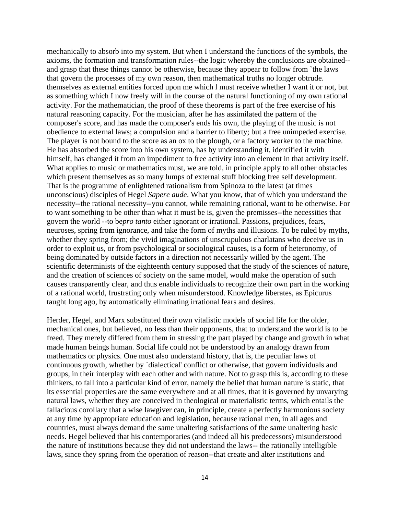mechanically to absorb into my system. But when I understand the functions of the symbols, the axioms, the formation and transformation rules--the logic whereby the conclusions are obtained- and grasp that these things cannot be otherwise, because they appear to follow from `the laws that govern the processes of my own reason, then mathematical truths no longer obtrude. themselves as external entities forced upon me which l must receive whether I want it or not, but as something which I now freely will in the course of the natural functioning of my own rational activity. For the mathematician, the proof of these theorems is part of the free exercise of his natural reasoning capacity. For the musician, after he has assimilated the pattern of the composer's score, and has made the composer's ends his own, the playing of the music is not obedience to external laws; a compulsion and a barrier to liberty; but a free unimpeded exercise. The player is not bound to the score as an ox to the plough, or a factory worker to the machine. He has absorbed the score into his own system, has by understanding it, identified it with himself, has changed it from an impediment to free activity into an element in that activity itself. What applies to music or mathematics must, we are told, in principle apply to all other obstacles which present themselves as so many lumps of external stuff blocking free self development. That is the programme of enlightened rationalism from Spinoza to the latest (at times unconscious) disciples of Hegel *Sapere aude*. What you know, that of which you understand the necessity--the rational necessity--you cannot, while remaining rational, want to be otherwise. For to want something to be other than what it must be is, given the premisses--the necessities that govern the world --to be*pro tanto* either ignorant or irrational. Passions, prejudices, fears, neuroses, spring from ignorance, and take the form of myths and illusions. To be ruled by myths, whether they spring from; the vivid imaginations of unscrupulous charlatans who deceive us in order to exploit us, or from psychological or sociological causes, is a form of heteronomy, of being dominated by outside factors in a direction not necessarily willed by the agent. The scientific determinists of the eighteenth century supposed that the study of the sciences of nature, and the creation of sciences of society on the same model, would make the operation of such causes transparently clear, and thus enable individuals to recognize their own part in the working of a rational world, frustrating only when misunderstood. Knowledge liberates, as Epicurus taught long ago, by automatically eliminating irrational fears and desires.

Herder, Hegel, and Marx substituted their own vitalistic models of social life for the older, mechanical ones, but believed, no less than their opponents, that to understand the world is to be freed. They merely differed from them in stressing the part played by change and growth in what made human beings human. Social life could not be understood by an analogy drawn from mathematics or physics. One must also understand history, that is, the peculiar laws of continuous growth, whether by `dialectical' conflict or otherwise, that govern individuals and groups, in their interplay with each other and with nature. Not to grasp this is, according to these thinkers, to fall into a particular kind of error, namely the belief that human nature is static, that its essential properties are the same everywhere and at all times, that it is governed by unvarying natural laws, whether they are conceived in theological or materialistic terms, which entails the fallacious corollary that a wise lawgiver can, in principle, create a perfectly harmonious society at any time by appropriate education and legislation, because rational men, in all ages and countries, must always demand the same unaltering satisfactions of the same unaltering basic needs. Hegel believed that his contemporaries (and indeed all his predecessors) misunderstood the nature of institutions because they did not understand the laws-- the rationally intelligible laws, since they spring from the operation of reason--that create and alter institutions and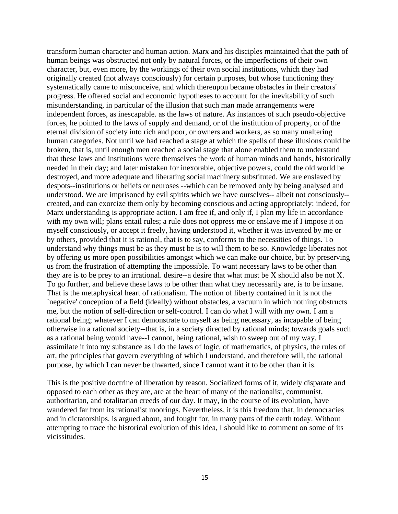transform human character and human action. Marx and his disciples maintained that the path of human beings was obstructed not only by natural forces, or the imperfections of their own character, but, even more, by the workings of their own social institutions, which they had originally created (not always consciously) for certain purposes, but whose functioning they systematically came to misconceive, and which thereupon became obstacles in their creators' progress. He offered social and economic hypotheses to account for the inevitability of such misunderstanding, in particular of the illusion that such man made arrangements were independent forces, as inescapable. as the laws of nature. As instances of such pseudo-objective forces, he pointed to the laws of supply and demand, or of the institution of property, or of the eternal division of society into rich and poor, or owners and workers, as so many unaltering human categories. Not until we had reached a stage at which the spells of these illusions could be broken, that is, until enough men reached a social stage that alone enabled them to understand that these laws and institutions were themselves the work of human minds and hands, historically needed in their day; and later mistaken for inexorable, objective powers, could the old world be destroyed, and more adequate and liberating social machinery substituted. We are enslaved by despots--institutions or beliefs or neuroses --which can be removed only by being analysed and understood. We are imprisoned by evil spirits which we have ourselves-- albeit not consciously- created, and can exorcize them only by becoming conscious and acting appropriately: indeed, for Marx understanding is appropriate action. I am free if, and only if, I plan my life in accordance with my own will; plans entail rules; a rule does not oppress me or enslave me if I impose it on myself consciously, or accept it freely, having understood it, whether it was invented by me or by others, provided that it is rational, that is to say, conforms to the necessities of things. To understand why things must be as they must be is to will them to be so. Knowledge liberates not by offering us more open possibilities amongst which we can make our choice, but by preserving us from the frustration of attempting the impossible. To want necessary laws to be other than they are is to be prey to an irrational. desire--a desire that what must be X should also be not X. To go further, and believe these laws to be other than what they necessarily are, is to be insane. That is the metaphysical heart of rationalism. The notion of liberty contained in it is not the `negative' conception of a field (ideally) without obstacles, a vacuum in which nothing obstructs me, but the notion of self-direction or self-control. I can do what I will with my own. I am a rational being; whatever I can demonstrate to myself as being necessary, as incapable of being otherwise in a rational society--that is, in a society directed by rational minds; towards goals such as a rational being would have--I cannot, being rational, wish to sweep out of my way. I assimilate it into my substance as I do the laws of logic, of mathematics, of physics, the rules of art, the principles that govern everything of which I understand, and therefore will, the rational purpose, by which I can never be thwarted, since I cannot want it to be other than it is.

This is the positive doctrine of liberation by reason. Socialized forms of it, widely disparate and opposed to each other as they are, are at the heart of many of the nationalist, communist, authoritarian, and totalitarian creeds of our day. It may, in the course of its evolution, have wandered far from its rationalist moorings. Nevertheless, it is this freedom that, in democracies and in dictatorships, is argued about, and fought for, in many parts of the earth today. Without attempting to trace the historical evolution of this idea, I should like to comment on some of its vicissitudes.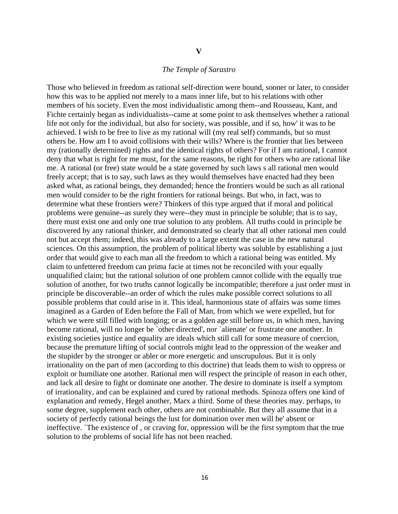#### *The Temple of Sarastro*

Those who believed in freedom as rational self-direction were bound, sooner or later, to consider how this was to be applied not merely to a mans inner life, but to his relations with other members of his society. Even the most individualistic among them--and Rousseau, Kant, and Fichte certainly began as individualists--came at some point to ask themselves whether a rational life not only for the individual, but also for society, was possible, and if so, how' it was to be achieved. I wish to be free to live as my rational will (my real self) commands, but so must others be. How am I to avoid collisions with their wills? Where is the frontier that lies between my (rationally determined) rights and the identical rights of others? For if I am rational, I cannot deny that what is right for me must, for the same reasons, be right for others who are rational like me. A rational (or free) state would be a state governed by such laws s all rational men would freely accept; that is to say, such laws as they would themselves have enacted had they been asked what, as rational beings, they demanded; hence the frontiers would be such as all rational men would consider to be the right frontiers for rational beings. But who, in fact, was to determine what these frontiers were? Thinkers of this type argued that if moral and political problems were genuine--as surely they were--they must in principle be soluble; that is to say, there must exist one and only one true solution to any problem. All truths could in principle be discovered by any rational thinker, and demonstrated so clearly that all other rational men could not but accept them; indeed, this was already to a large extent the case in the new natural sciences. On this assumption, the problem of political liberty was soluble by establishing a just order that would give to each man all the freedom to which a rational being was entitled. My claim to unfettered freedom can prima facie at times not be reconciled with your equally unqualified claim; but the rational solution of one problem cannot collide with the equally true solution of another, for two truths cannot logically be incompatible; therefore a just order must in principle be discoverable--an order of which the rules make possible correct solutions to all possible problems that could arise in it. This ideal, harmonious state of affairs was some times imagined as a Garden of Eden before the Fall of Man, from which we were expelled, but for which we were still filled with longing; or as a golden age still before us, in which men, having become rational, will no longer be `other directed', nor `alienate' or frustrate one another. In existing societies justice and equality are ideals which still call for some measure of coercion, because the premature lifting of social controls might lead to the oppression of the weaker and the stupider by the stronger or abler or more energetic and unscrupulous. But it is only irrationality on the part of men (according to this doctrine) that leads them to wish to oppress or exploit or humiliate one another. Rational men will respect the principle of reason in each other, and lack all desire to fight or dominate one another. The desire to dominate is itself a symptom of irrationality, and can be explained and cured by rational methods. Spinoza offers one kind of explanation and remedy, Hegel another, Marx a third. Some of these theories may. perhaps, to some degree, supplement each other, others are not combinable. But they all assume that in a society of perfectly rational beings the lust for domination over men will be' absent or ineffective. `The existence of , or craving for, oppression will be the first symptom that the true solution to the problems of social life has not been reached.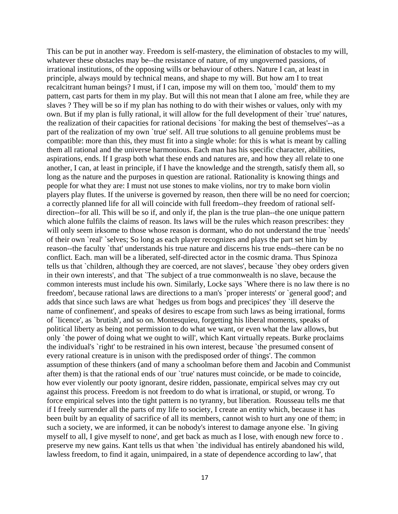This can be put in another way. Freedom is self-mastery, the elimination of obstacles to my will, whatever these obstacles may be--the resistance of nature, of my ungoverned passions, of irrational institutions, of the opposing wills or behaviour of others. Nature I can, at least in principle, always mould by technical means, and shape to my will. But how am I to treat recalcitrant human beings? I must, if I can, impose my will on them too, `mould' them to my pattern, cast parts for them in my play. But will this not mean that I alone am free, while they are slaves ? They will be so if my plan has nothing to do with their wishes or values, only with my own. But if my plan is fully rational, it will allow for the full development of their `true' natures, the realization of their capacities for rational decisions `for making the best of themselves'--as a part of the realization of my own `true' self. All true solutions to all genuine problems must be compatible: more than this, they must fit into a single whole: for this is what is meant by calling them all rational and the universe harmonious. Each man has his specific character, abilities, aspirations, ends. If I grasp both what these ends and natures are, and how they all relate to one another, I can, at least in principle, if I have the knowledge and the strength, satisfy them all, so long as the nature and the purposes in question are rational. Rationality is knowing things and people for what they are: I must not use stones to make violins, nor try to make born violin players play flutes. If the universe is governed by reason, then there will be no need for coercion; a correctly planned life for all will coincide with full freedom--they freedom of rational selfdirection--for all. This will be so if, and only if, the plan is the true plan--the one unique pattern which alone fulfils the claims of reason. Its laws will be the rules which reason prescribes: they will only seem irksome to those whose reason is dormant, who do not understand the true `needs' of their own `real' `selves; So long as each player recognizes and plays the part set him by reason--the faculty `that' understands his true nature and discerns his true ends--there can be no conflict. Each. man will be a liberated, self-directed actor in the cosmic drama. Thus Spinoza tells us that `children, although they are coerced, are not slaves', because `they obey orders given in their own interests', and that `The subject of a true commonwealth is no slave, because the common interests must include his own. Similarly, Locke says `Where there is no law there is no freedom', because rational laws are directions to a man's `proper interests' or `general good'; and adds that since such laws are what `hedges us from bogs and precipices' they `ill deserve the name of confinement', and speaks of desires to escape from such laws as being irrational, forms of `licence', as `brutish', and so on. Montesquieu, forgetting his liberal moments, speaks of political liberty as being not permission to do what we want, or even what the law allows, but only `the power of doing what we ought to will', which Kant virtually repeats. Burke proclaims the individual's `right' to be restrained in his own interest, because `the presumed consent of every rational creature is in unison with the predisposed order of things'. The common assumption of these thinkers (and of many a schoolman before them and Jacobin and Communist after them) is that the rational ends of our `true' natures must coincide, or be made to coincide, how ever violently our pooty ignorant, desire ridden, passionate, empirical selves may cry out against this process. Freedom is not freedom to do what is irrational, or stupid, or wrong. To force empirical selves into the tight pattern is no tyranny, but liberation. Rousseau tells me that if I freely surrender all the parts of my life to society, I create an entity which, because it has been built by an equality of sacrifice of all its members, cannot wish to hurt any one of them; in such a society, we are informed, it can be nobody's interest to damage anyone else. `In giving myself to all, I give myself to none', and get back as much as I lose, with enough new force to . preserve my new gains. Kant tells us that when `the individual has entirely abandoned his wild, lawless freedom, to find it again, unimpaired, in a state of dependence according to law', that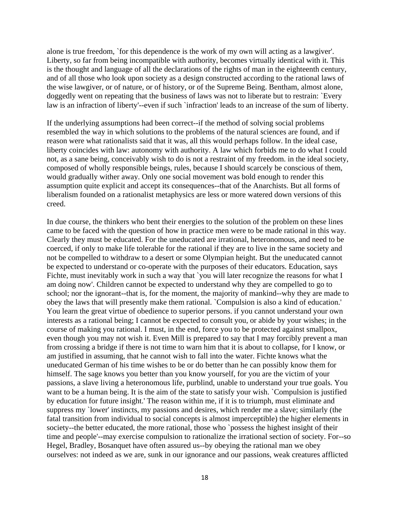alone is true freedom, `for this dependence is the work of my own will acting as a lawgiver'. Liberty, so far from being incompatible with authority, becomes virtually identical with it. This is the thought and language of all the declarations of the rights of man in the eighteenth century, and of all those who look upon society as a design constructed according to the rational laws of the wise lawgiver, or of nature, or of history, or of the Supreme Being. Bentham, almost alone, doggedly went on repeating that the business of laws was not to liberate but to restrain: `Every law is an infraction of liberty'--even if such `infraction' leads to an increase of the sum of liberty.

If the underlying assumptions had been correct--if the method of solving social problems resembled the way in which solutions to the problems of the natural sciences are found, and if reason were what rationalists said that it was, all this would perhaps follow. In the ideal case, liberty coincides with law: autonomy with authority. A law which forbids me to do what I could not, as a sane being, conceivably wish to do is not a restraint of my freedom. in the ideal society, composed of wholly responsible beings, rules, because I should scarcely be conscious of them, would gradually wither away. Only one social movement was bold enough to render this assumption quite explicit and accept its consequences--that of the Anarchists. But all forms of liberalism founded on a rationalist metaphysics are less or more watered down versions of this creed.

In due course, the thinkers who bent their energies to the solution of the problem on these lines came to be faced with the question of how in practice men were to be made rational in this way. Clearly they must be educated. For the uneducated are irrational, heteronomous, and need to be coerced, if only to make life tolerable for the rational if they are to live in the same society and not be compelled to withdraw to a desert or some Olympian height. But the uneducated cannot be expected to understand or co-operate with the purposes of their educators. Education, says Fichte, must inevitably work in such a way that `you will later recognize the reasons for what I am doing now'. Children cannot be expected to understand why they are compelled to go to school; nor the ignorant--that is, for the moment, the majority of mankind--why they are made to obey the laws that will presently make them rational. `Compulsion is also a kind of education.' You learn the great virtue of obedience to superior persons. if you cannot understand your own interests as a rational being; I cannot be expected to consult you, or abide by your wishes; in the course of making you rational. I must, in the end, force you to be protected against smallpox, even though you may not wish it. Even Mill is prepared to say that I may forcibly prevent a man from crossing a bridge if there is not time to warn him that it is about to collapse, for I know, or am justified in assuming, that he cannot wish to fall into the water. Fichte knows what the uneducated German of his time wishes to be or do better than he can possibly know them for himself. The sage knows you better than you know yourself, for you are the victim of your passions, a slave living a heteronomous life, purblind, unable to understand your true goals. You want to be a human being. It is the aim of the state to satisfy your wish. `Compulsion is justified by education for future insight.' The reason within me, if it is to triumph, must eliminate and suppress my `lower' instincts, my passions and desires, which render me a slave; similarly (the fatal transition from individual to social concepts is almost imperceptible) the higher elements in society--the better educated, the more rational, those who `possess the highest insight of their time and people'--may exercise compulsion to rationalize the irrational section of society. For--so Hegel, Bradley, Bosanquet have often assured us--by obeying the rational man we obey ourselves: not indeed as we are, sunk in our ignorance and our passions, weak creatures afflicted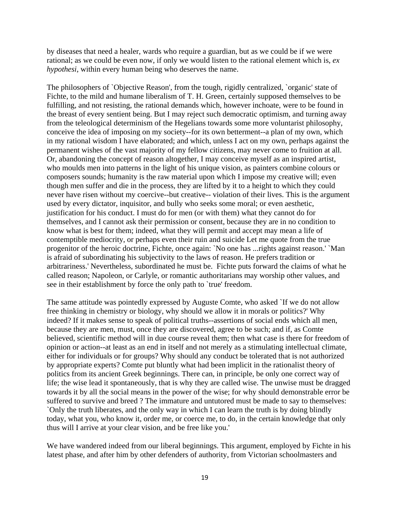by diseases that need a healer, wards who require a guardian, but as we could be if we were rational; as we could be even now, if only we would listen to the rational element which is, *ex hypothesi*, within every human being who deserves the name.

The philosophers of `Objective Reason', from the tough, rigidly centralized, `organic' state of Fichte, to the mild and humane liberalism of T. H. Green, certainly supposed themselves to be fulfilling, and not resisting, the rational demands which, however inchoate, were to be found in the breast of every sentient being. But I may reject such democratic optimism, and turning away from the teleological determinism of the Hegelians towards some more voluntarist philosophy, conceive the idea of imposing on my society--for its own betterment--a plan of my own, which in my rational wisdom I have elaborated; and which, unless I act on my own, perhaps against the permanent wishes of the vast majority of my fellow citizens, may never come to fruition at all. Or, abandoning the concept of reason altogether, I may conceive myself as an inspired artist, who moulds men into patterns in the light of his unique vision, as painters combine colours or composers sounds; humanity is the raw material upon which I impose my creative will; even though men suffer and die in the process, they are lifted by it to a height to which they could never have risen without my coercive--but creative-- violation of their lives. This is the argument used by every dictator, inquisitor, and bully who seeks some moral; or even aesthetic, justification for his conduct. I must do for men (or with them) what they cannot do for themselves, and I cannot ask their permission or consent, because they are in no condition to know what is best for them; indeed, what they will permit and accept may mean a life of contemptible mediocrity, or perhaps even their ruin and suicide Let me quote from the true progenitor of the heroic doctrine, Fichte, once again: `No one has ...rights against reason.' `Man is afraid of subordinating his subjectivity to the laws of reason. He prefers tradition or arbitrariness.' Nevertheless, subordinated he must be. Fichte puts forward the claims of what he called reason; Napoleon, or Carlyle, or romantic authoritarians may worship other values, and see in their establishment by force the only path to `true' freedom.

The same attitude was pointedly expressed by Auguste Comte, who asked `If we do not allow free thinking in chemistry or biology, why should we allow it in morals or politics?' Why indeed? If it makes sense to speak of political truths--assertions of social ends which all men, because they are men, must, once they are discovered, agree to be such; and if, as Comte believed, scientific method will in due course reveal them; then what case is there for freedom of opinion or action--at least as an end in itself and not merely as a stimulating intellectual climate, either for individuals or for groups? Why should any conduct be tolerated that is not authorized by appropriate experts? Comte put bluntly what had been implicit in the rationalist theory of politics from its ancient Greek beginnings. There can, in principle, be only one correct way of life; the wise lead it spontaneously, that is why they are called wise. The unwise must be dragged towards it by all the social means in the power of the wise; for why should demonstrable error be suffered to survive and breed ? The immature and untutored must be made to say to themselves: `Only the truth liberates, and the only way in which I can learn the truth is by doing blindly today, what you, who know it, order me, or coerce me, to do, in the certain knowledge that only thus will I arrive at your clear vision, and be free like you.'

We have wandered indeed from our liberal beginnings. This argument, employed by Fichte in his latest phase, and after him by other defenders of authority, from Victorian schoolmasters and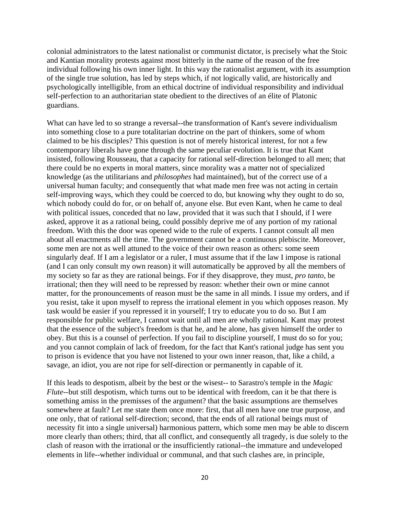colonial administrators to the latest nationalist or communist dictator, is precisely what the Stoic and Kantian morality protests against most bitterly in the name of the reason of the free individual following his own inner light. In this way the rationalist argument, with its assumption of the single true solution, has led by steps which, if not logically valid, are historically and psychologically intelligible, from an ethical doctrine of individual responsibility and individual self-perfection to an authoritarian state obedient to the directives of an élite of Platonic guardians.

What can have led to so strange a reversal--the transformation of Kant's severe individualism into something close to a pure totalitarian doctrine on the part of thinkers, some of whom claimed to be his disciples? This question is not of merely historical interest, for not a few contemporary liberals have gone through the same peculiar evolution. It is true that Kant insisted, following Rousseau, that a capacity for rational self-direction belonged to all men; that there could be no experts in moral matters, since morality was a matter not of specialized knowledge (as the utilitarians and *philosophes* had maintained), but of the correct use of a universal human faculty; and consequently that what made men free was not acting in certain self-improving ways, which they could be coerced to do, but knowing why they ought to do so, which nobody could do for, or on behalf of, anyone else. But even Kant, when he came to deal with political issues, conceded that no law, provided that it was such that I should, if I were asked, approve it as a rational being, could possibly deprive me of any portion of my rational freedom. With this the door was opened wide to the rule of experts. I cannot consult all men about all enactments all the time. The government cannot be a continuous plebiscite. Moreover, some men are not as well attuned to the voice of their own reason as others: some seem singularly deaf. If I am a legislator or a ruler, I must assume that if the law I impose is rational (and I can only consult my own reason) it will automatically be approved by all the members of my society so far as they are rational beings. For if they disapprove, they must, *pro tanto*, be irrational; then they will need to be repressed by reason: whether their own or mine cannot matter, for the pronouncements of reason must be the same in all minds. I issue my orders, and if you resist, take it upon myself to repress the irrational element in you which opposes reason. My task would be easier if you repressed it in yourself; I try to educate you to do so. But I am responsible for public welfare, I cannot wait until all men are wholly rational. Kant may protest that the essence of the subject's freedom is that he, and he alone, has given himself the order to obey. But this is a counsel of perfection. If you fail to discipline yourself, I must do so for you; and you cannot complain of lack of freedom, for the fact that Kant's rational judge has sent you to prison is evidence that you have not listened to your own inner reason, that, like a child, a savage, an idiot, you are not ripe for self-direction or permanently in capable of it.

If this leads to despotism, albeit by the best or the wisest-- to Sarastro's temple in the *Magic Flute*--but still despotism, which turns out to be identical with freedom, can it be that there is something amiss in the premisses of the argument? that the basic assumptions are themselves somewhere at fault? Let me state them once more: first, that all men have one true purpose, and one only, that of rational self-direction; second, that the ends of all rational beings must of necessity fit into a single universal) harmonious pattern, which some men may be able to discern more clearly than others; third, that all conflict, and consequently all tragedy, is due solely to the clash of reason with the irrational or the insufficiently rational--the immature and undeveloped elements in life--whether individual or communal, and that such clashes are, in principle,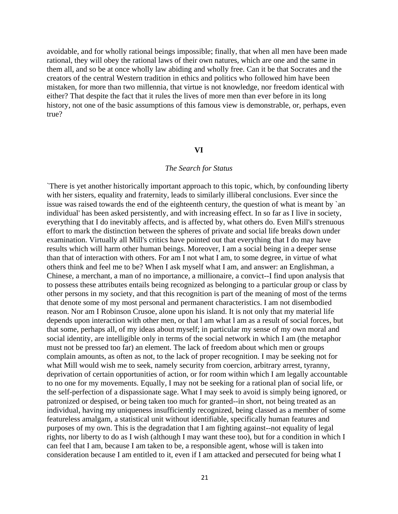avoidable, and for wholly rational beings impossible; finally, that when all men have been made rational, they will obey the rational laws of their own natures, which are one and the same in them all, and so be at once wholly law abiding and wholly free. Can it be that Socrates and the creators of the central Western tradition in ethics and politics who followed him have been mistaken, for more than two millennia, that virtue is not knowledge, nor freedom identical with either? That despite the fact that it rules the lives of more men than ever before in its long history, not one of the basic assumptions of this famous view is demonstrable, or, perhaps, even true?

# **VI**

#### *The Search for Status*

`There is yet another historically important approach to this topic, which, by confounding liberty with her sisters, equality and fraternity, leads to similarly illiberal conclusions. Ever since the issue was raised towards the end of the eighteenth century, the question of what is meant by `an individual' has been asked persistently, and with increasing effect. In so far as I live in society, everything that I do inevitably affects, and is affected by, what others do. Even Mill's strenuous effort to mark the distinction between the spheres of private and social life breaks down under examination. Virtually all Mill's critics have pointed out that everything that I do may have results which will harm other human beings. Moreover, I am a social being in a deeper sense than that of interaction with others. For am I not what I am, to some degree, in virtue of what others think and feel me to be? When I ask myself what I am, and answer: an Englishman, a Chinese, a merchant, a man of no importance, a millionaire, a convict--I find upon analysis that to possess these attributes entails being recognized as belonging to a particular group or class by other persons in my society, and that this recognition is part of the meaning of most of the terms that denote some of my most personal and permanent characteristics. I am not disembodied reason. Nor am I Robinson Crusoe, alone upon his island. It is not only that my material life depends upon interaction with other men, or that l am what l am as a result of social forces, but that some, perhaps all, of my ideas about myself; in particular my sense of my own moral and social identity, are intelligible only in terms of the social network in which I am (the metaphor must not be pressed too far) an element. The lack of freedom about which men or groups complain amounts, as often as not, to the lack of proper recognition. I may be seeking not for what Mill would wish me to seek, namely security from coercion, arbitrary arrest, tyranny, deprivation of certain opportunities of action, or for room within which I am legally accountable to no one for my movements. Equally, I may not be seeking for a rational plan of social life, or the self-perfection of a dispassionate sage. What I may seek to avoid is simply being ignored, or patronized or despised, or being taken too much for granted--in short, not being treated as an individual, having my uniqueness insufficiently recognized, being classed as a member of some featureless amalgam, a statistical unit without identifiable, specifically human features and purposes of my own. This is the degradation that I am fighting against--not equality of legal rights, nor liberty to do as I wish (although I may want these too), but for a condition in which I can feel that I am, because I am taken to be, a responsible agent, whose will is taken into consideration because I am entitled to it, even if I am attacked and persecuted for being what I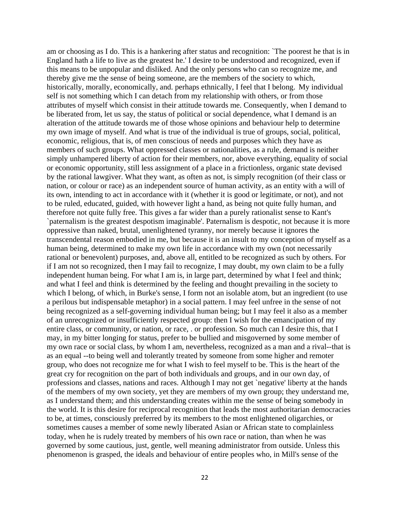am or choosing as I do. This is a hankering after status and recognition: `The poorest he that is in England hath a life to live as the greatest he.' I desire to be understood and recognized, even if this means to be unpopular and disliked. And the only persons who can so recognize me, and thereby give me the sense of being someone, are the members of the society to which, historically, morally, economically, and. perhaps ethnically, I feel that I belong. My individual self is not something which I can detach from my relationship with others, or from those attributes of myself which consist in their attitude towards me. Consequently, when I demand to be liberated from, let us say, the status of political or social dependence, what I demand is an alteration of the attitude towards me of those whose opinions and behaviour help to determine my own image of myself. And what is true of the individual is true of groups, social, political, economic, religious, that is, of men conscious of needs and purposes which they have as members of such groups. What oppressed classes or nationalities, as a rule, demand is neither simply unhampered liberty of action for their members, nor, above everything, equality of social or economic opportunity, still less assignment of a place in a frictionless, organic state devised by the rational lawgiver. What they want, as often as not, is simply recognition (of their class or nation, or colour or race) as an independent source of human activity, as an entity with a will of its own, intending to act in accordance with it (whether it is good or legitimate, or not), and not to be ruled, educated, guided, with however light a hand, as being not quite fully human, and therefore not quite fully free. This gives a far wider than a purely rationalist sense to Kant's `paternalism is the greatest despotism imaginable'. Paternalism is despotic, not because it is more oppressive than naked, brutal, unenlightened tyranny, nor merely because it ignores the transcendental reason embodied in me, but because it is an insult to my conception of myself as a human being, determined to make my own life in accordance with my own (not necessarily rational or benevolent) purposes, and, above all, entitled to be recognized as such by others. For if I am not so recognized, then I may fail to recognize, I may doubt, my own claim to be a fully independent human being. For what I am is, in large part, determined by what I feel and think; and what I feel and think is determined by the feeling and thought prevailing in the society to which I belong, of which, in Burke's sense, I form not an isolable atom, but an ingredient (to use a perilous but indispensable metaphor) in a social pattern. I may feel unfree in the sense of not being recognized as a self-governing individual human being; but I may feel it also as a member of an unrecognized or insufficiently respected group: then I wish for the emancipation of my entire class, or community, or nation, or race, . or profession. So much can I desire this, that I may, in my bitter longing for status, prefer to be bullied and misgoverned by some member of my own race or social class, by whom I am, nevertheless, recognized as a man and a rival--that is as an equal --to being well and tolerantly treated by someone from some higher and remoter group, who does not recognize me for what I wish to feel myself to be. This is the heart of the great cry for recognition on the part of both individuals and groups, and in our own day, of professions and classes, nations and races. Although I may not get `negative' liberty at the hands of the members of my own society, yet they are members of my own group; they understand me, as I understand them; and this understanding creates within me the sense of being somebody in the world. It is this desire for reciprocal recognition that leads the most authoritarian democracies to be, at times, consciously preferred by its members to the most enlightened oligarchies, or sometimes causes a member of some newly liberated Asian or African state to complainless today, when he is rudely treated by members of his own race or nation, than when he was governed by some cautious, just, gentle, well meaning administrator from outside. Unless this phenomenon is grasped, the ideals and behaviour of entire peoples who, in Mill's sense of the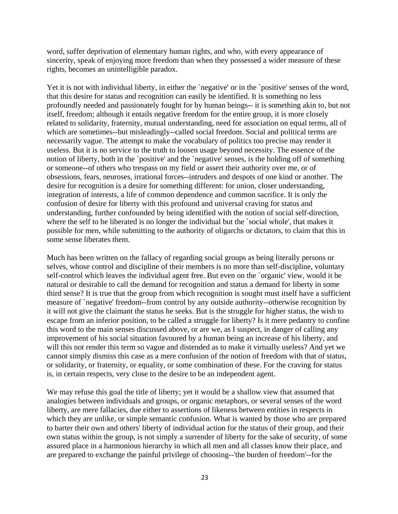word, suffer deprivation of elementary human rights, and who, with every appearance of sincerity, speak of enjoying more freedom than when they possessed a wider measure of these rights, becomes an unintelligible paradox.

Yet it is not with individual liberty, in either the `negative' or in the `positive' senses of the word, that this desire for status and recognition can easily be identified. It is something no less profoundly needed and passionately fought for by human beings-- it is something akin to, but not itself, freedom; although it entails negative freedom for the entire group, it is more closely related to solidarity, fraternity, mutual understanding, need for association on equal terms, all of which are sometimes--but misleadingly--called social freedom. Social and political terms are necessarily vague. The attempt to make the vocabulary of politics too precise may render it useless. But it is no service to the truth to loosen usage beyond necessity. The essence of the notion of liberty, both in the `positive' and the `negative' senses, is the holding off of something or someone--of others who trespass on my field or assert their authority over me, or of obsessions, fears, neuroses, irrational forces--intruders and despots of one kind or another. The desire for recognition is a desire for something different: for union, closer understanding, integration of interests, a life of common dependence and common sacrifice. It is only the confusion of desire for liberty with this profound and universal craving for status and understanding, further confounded by being identified with the notion of social self-direction, where the self to be liberated is no longer the individual but the `social whole', that makes it possible for men, while submitting to the authority of oligarchs or dictators, to claim that this in some sense liberates them.

Much has been written on the fallacy of regarding social groups as being literally persons or selves, whose control and discipline of their members is no more than self-discipline, voluntary self-control which leaves the individual agent free. But even on the `organic' view, would it be natural or desirable to call the demand for recognition and status a demand for liberty in some third sense? It is true that the group from which recognition is sought must itself have a sufficient measure of `negative' freedom--from control by any outside authority--otherwise recognition by it will not give the claimant the status he seeks. But is the struggle for higher status, the wish to escape from an inferior position, to be called a struggle for liberty? Is it mere pedantry to confine this word to the main senses discussed above, or are we, as I suspect, in danger of calling any improvement of his social situation favoured by a human being an increase of his liberty, and will this not render this term so vague and distended as to make it virtually useless? And yet we cannot simply dismiss this case as a mere confusion of the notion of freedom with that of status, or solidarity, or fraternity, or equality, or some combination of these. For the craving for status is, in certain respects, very close to the desire to be an independent agent.

We may refuse this goal the title of liberty; yet it would be a shallow view that assumed that analogies between individuals and groups, or organic metaphors, or several senses of the word liberty, are mere fallacies, due either to assertions of likeness between entities in respects in which they are unlike, or simple semantic confusion. What is wanted by those who are prepared to barter their own and others' liberty of individual action for the status of their group, and their own status within the group, is not simply a surrender of liberty for the sake of security, of some assured place in a harmonious hierarchy in which all men and all classes know their place, and are prepared to exchange the painful privilege of choosing--'the burden of freedom'--for the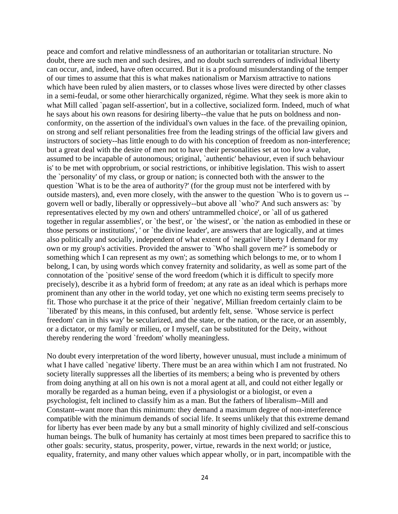peace and comfort and relative mindlessness of an authoritarian or totalitarian structure. No doubt, there are such men and such desires, and no doubt such surrenders of individual liberty can occur, and, indeed, have often occurred. But it is a profound misunderstanding of the temper of our times to assume that this is what makes nationalism or Marxism attractive to nations which have been ruled by alien masters, or to classes whose lives were directed by other classes in a semi-feudal, or some other hierarchically organized, régime. What they seek is more akin to what Mill called `pagan self-assertion', but in a collective, socialized form. Indeed, much of what he says about his own reasons for desiring liberty--the value that he puts on boldness and nonconformity, on the assertion of the individual's own values in the face. of the prevailing opinion, on strong and self reliant personalities free from the leading strings of the official law givers and instructors of society--has little enough to do with his conception of freedom as non-interference; but a great deal with the desire of men not to have their personalities set at too low a value, assumed to be incapable of autonomous; original, `authentic' behaviour, even if such behaviour is' to be met with opprobrium, or social restrictions, or inhibitive legislation. This wish to assert the `personality' of my class, or group or nation; is connected both with the answer to the question `What is to be the area of authority?' (for the group must not be interfered with by outside masters), and, even more closely, with the answer to the question `Who is to govern us - govern well or badly, liberally or oppressively--but above all `who?' And such answers as: `by representatives elected by my own and others' untrammelled choice', or `all of us gathered together in regular assemblies', or `the best', or `the wisest', or `the nation as embodied in these or those persons or institutions', ' or `the divine leader', are answers that are logically, and at times also politically and socially, independent of what extent of `negative' liberty I demand for my own or my group's activities. Provided the answer to `Who shall govern me?' is somebody or something which I can represent as my own'; as something which belongs to me, or to whom I belong, I can, by using words which convey fraternity and solidarity, as well as some part of the connotation of the `positive' sense of the word freedom (which it is difficult to specify more precisely), describe it as a hybrid form of freedom; at any rate as an ideal which is perhaps more prominent than any other in the world today, yet one which no existing term seems precisely to fit. Those who purchase it at the price of their `negative', Millian freedom certainly claim to be `liberated' by this means, in this confused, but ardently felt, sense. `Whose service is perfect freedom' can in this way' be secularized, and the state, or the nation, or the race, or an assembly, or a dictator, or my family or milieu, or I myself, can be substituted for the Deity, without thereby rendering the word `freedom' wholly meaningless.

No doubt every interpretation of the word liberty, however unusual, must include a minimum of what I have called `negative' liberty. There must be an area within which I am not frustrated. No society literally suppresses all the liberties of its members; a being who is prevented by others from doing anything at all on his own is not a moral agent at all, and could not either legally or morally be regarded as a human being, even if a physiologist or a biologist, or even a psychologist, felt inclined to classify him as a man. But the fathers of liberalism--Mill and Constant--want more than this minimum: they demand a maximum degree of non-interference compatible with the minimum demands of social life. It seems unlikely that this extreme demand for liberty has ever been made by any but a small minority of highly civilized and self-conscious human beings. The bulk of humanity has certainly at most times been prepared to sacrifice this to other goals: security, status, prosperity, power, virtue, rewards in the next world; or justice, equality, fraternity, and many other values which appear wholly, or in part, incompatible with the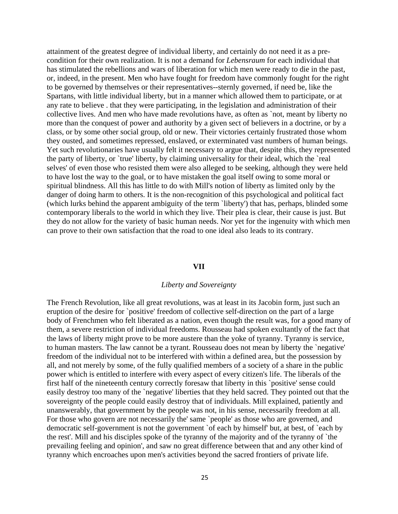attainment of the greatest degree of individual liberty, and certainly do not need it as a precondition for their own realization. It is not a demand for *Lebensraum* for each individual that has stimulated the rebellions and wars of liberation for which men were ready to die in the past, or, indeed, in the present. Men who have fought for freedom have commonly fought for the right to be governed by themselves or their representatives--sternly governed, if need be, like the Spartans, with little individual liberty, but in a manner which allowed them to participate, or at any rate to believe . that they were participating, in the legislation and administration of their collective lives. And men who have made revolutions have, as often as `not, meant by liberty no more than the conquest of power and authority by a given sect of believers in a doctrine, or by a class, or by some other social group, old or new. Their victories certainly frustrated those whom they ousted, and sometimes repressed, enslaved, or exterminated vast numbers of human beings. Yet such revolutionaries have usually felt it necessary to argue that, despite this, they represented the party of liberty, or `true' liberty, by claiming universality for their ideal, which the `real selves' of even those who resisted them were also alleged to be seeking, although they were held to have lost the way to the goal, or to have mistaken the goal itself owing to some moral or spiritual blindness. All this has little to do with Mill's notion of liberty as limited only by the danger of doing harm to others. It is the non-recognition of this psychological and political fact (which lurks behind the apparent ambiguity of the term `liberty') that has, perhaps, blinded some contemporary liberals to the world in which they live. Their plea is clear, their cause is just. But they do not allow for the variety of basic human needs. Nor yet for the ingenuity with which men can prove to their own satisfaction that the road to one ideal also leads to its contrary.

#### **VII**

#### *Liberty and Sovereignty*

The French Revolution, like all great revolutions, was at least in its Jacobin form, just such an eruption of the desire for `positive' freedom of collective self-direction on the part of a large body of Frenchmen who felt liberated as a nation, even though the result was, for a good many of them, a severe restriction of individual freedoms. Rousseau had spoken exultantly of the fact that the laws of liberty might prove to be more austere than the yoke of tyranny. Tyranny is service, to human masters. The law cannot be a tyrant. Rousseau does not mean by liberty the `negative' freedom of the individual not to be interfered with within a defined area, but the possession by all, and not merely by some, of the fully qualified members of a society of a share in the public power which is entitled to interfere with every aspect of every citizen's life. The liberals of the first half of the nineteenth century correctly foresaw that liberty in this `positive' sense could easily destroy too many of the `negative' liberties that they held sacred. They pointed out that the sovereignty of the people could easily destroy that of individuals. Mill explained, patiently and unanswerably, that government by the people was not, in his sense, necessarily freedom at all. For those who govern are not necessarily the' same `people' as those who are governed, and democratic self-government is not the government `of each by himself' but, at best, of `each by the rest'. Mill and his disciples spoke of the tyranny of the majority and of the tyranny of `the prevailing feeling and opinion', and saw no great difference between that and any other kind of tyranny which encroaches upon men's activities beyond the sacred frontiers of private life.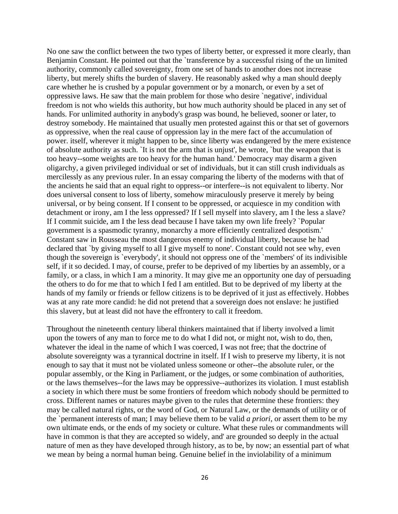No one saw the conflict between the two types of liberty better, or expressed it more clearly, than Benjamin Constant. He pointed out that the 'transference by a successful rising of the un limited authority, commonly called sovereignty, from one set of hands to another does not increase liberty, but merely shifts the burden of slavery. He reasonably asked why a man should deeply care whether he is crushed by a popular government or by a monarch, or even by a set of oppressive laws. He saw that the main problem for those who desire `negative', individual freedom is not who wields this authority, but how much authority should be placed in any set of hands. For unlimited authority in anybody's grasp was bound, he believed, sooner or later, to destroy somebody. He maintained that usually men protested against this or that set of governors as oppressive, when the real cause of oppression lay in the mere fact of the accumulation of power. itself, wherever it might happen to be, since liberty was endangered by the mere existence of absolute authority as such. `It is not the arm that is unjust', he wrote, `but the weapon that is too heavy--some weights are too heavy for the human hand.' Democracy may disarm a given oligarchy, a given privileged individual or set of individuals, but it can still crush individuals as mercilessly as any previous ruler. In an essay comparing the liberty of the moderns with that of the ancients he said that an equal right to oppress--or interfere--is not equivalent to liberty. Nor does universal consent to loss of liberty, somehow miraculously preserve it merely by being universal, or by being consent. If I consent to be oppressed, or acquiesce in my condition with detachment or irony, am I the less oppressed? If I sell myself into slavery, am I the less a slave? If I commit suicide, am I the less dead because I have taken my own life freely? `Popular government is a spasmodic tyranny, monarchy a more efficiently centralized despotism.' Constant saw in Rousseau the most dangerous enemy of individual liberty, because he had declared that `by giving myself to all I give myself to none'. Constant could not see why, even though the sovereign is `everybody', it should not oppress one of the `members' of its indivisible self, if it so decided. I may, of course, prefer to be deprived of my liberties by an assembly, or a family, or a class, in which I am a minority. It may give me an opportunity one day of persuading the others to do for me that to which I fed I am entitled. But to be deprived of my liberty at the hands of my family or friends or fellow citizens is to be deprived of it just as effectively. Hobbes was at any rate more candid: he did not pretend that a sovereign does not enslave: he justified this slavery, but at least did not have the effrontery to call it freedom.

Throughout the nineteenth century liberal thinkers maintained that if liberty involved a limit upon the towers of any man to force me to do what I did not, or might not, wish to do, then, whatever the ideal in the name of which I was coerced, I was not free; that the doctrine of absolute sovereignty was a tyrannical doctrine in itself. If I wish to preserve my liberty, it is not enough to say that it must not be violated unless someone or other--the absolute ruler, or the popular assembly, or the King in Parliament, or the judges, or some combination of authorities, or the laws themselves--for the laws may be oppressive--authorizes its violation. I must establish a society in which there must be some frontiers of freedom which nobody should be permitted to cross. Different names or natures maybe given to the rules that determine these frontiers: they may be called natural rights, or the word of God, or Natural Law, or the demands of utility or of the `permanent interests of man; I may believe them to be valid *a priori*, or assert them to be my own ultimate ends, or the ends of my society or culture. What these rules or commandments will have in common is that they are accepted so widely, and' are grounded so deeply in the actual nature of men as they have developed through history, as to be, by now; an essential part of what we mean by being a normal human being. Genuine belief in the inviolability of a minimum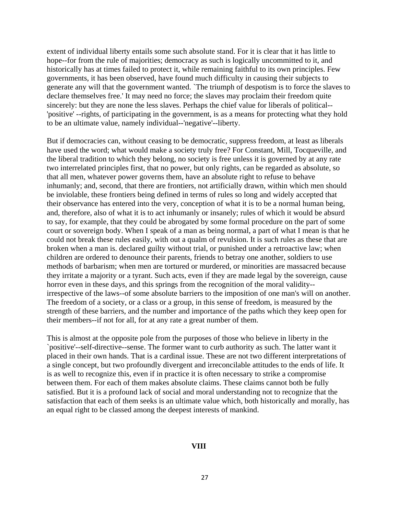extent of individual liberty entails some such absolute stand. For it is clear that it has little to hope--for from the rule of majorities; democracy as such is logically uncommitted to it, and historically has at times failed to protect it, while remaining faithful to its own principles. Few governments, it has been observed, have found much difficulty in causing their subjects to generate any will that the government wanted. `The triumph of despotism is to force the slaves to declare themselves free.' It may need no force; the slaves may proclaim their freedom quite sincerely: but they are none the less slaves. Perhaps the chief value for liberals of political-- 'positive' --rights, of participating in the government, is as a means for protecting what they hold to be an ultimate value, namely individual--'negative'--liberty.

But if democracies can, without ceasing to be democratic, suppress freedom, at least as liberals have used the word; what would make a society truly free? For Constant, Mill, Tocqueville, and the liberal tradition to which they belong, no society is free unless it is governed by at any rate two interrelated principles first, that no power, but only rights, can be regarded as absolute, so that all men, whatever power governs them, have an absolute right to refuse to behave inhumanly; and, second, that there are frontiers, not artificially drawn, within which men should be inviolable, these frontiers being defined in terms of rules so long and widely accepted that their observance has entered into the very, conception of what it is to be a normal human being, and, therefore, also of what it is to act inhumanly or insanely; rules of which it would be absurd to say, for example, that they could be abrogated by some formal procedure on the part of some court or sovereign body. When I speak of a man as being normal, a part of what I mean is that he could not break these rules easily, with out a qualm of revulsion. It is such rules as these that are broken when a man is. declared guilty without trial, or punished under a retroactive law; when children are ordered to denounce their parents, friends to betray one another, soldiers to use methods of barbarism; when men are tortured or murdered, or minorities are massacred because they irritate a majority or a tyrant. Such acts, even if they are made legal by the sovereign, cause horror even in these days, and this springs from the recognition of the moral validity- irrespective of the laws--of some absolute barriers to the imposition of one man's will on another. The freedom of a society, or a class or a group, in this sense of freedom, is measured by the strength of these barriers, and the number and importance of the paths which they keep open for their members--if not for all, for at any rate a great number of them.

This is almost at the opposite pole from the purposes of those who believe in liberty in the `positive'--self-directive--sense. The former want to curb authority as such. The latter want it placed in their own hands. That is a cardinal issue. These are not two different interpretations of a single concept, but two profoundly divergent and irreconcilable attitudes to the ends of life. It is as well to recognize this, even if in practice it is often necessary to strike a compromise between them. For each of them makes absolute claims. These claims cannot both be fully satisfied. But it is a profound lack of social and moral understanding not to recognize that the satisfaction that each of them seeks is an ultimate value which, both historically and morally, has an equal right to be classed among the deepest interests of mankind.

### **VIII**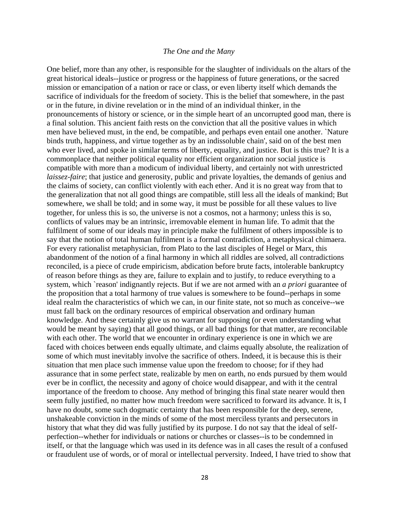#### *The One and the Many*

One belief, more than any other, is responsible for the slaughter of individuals on the altars of the great historical ideals--justice or progress or the happiness of future generations, or the sacred mission or emancipation of a nation or race or class, or even liberty itself which demands the sacrifice of individuals for the freedom of society. This is the belief that somewhere, in the past or in the future, in divine revelation or in the mind of an individual thinker, in the pronouncements of history or science, or in the simple heart of an uncorrupted good man, there is a final solution. This ancient faith rests on the conviction that all the positive values in which men have believed must, in the end, be compatible, and perhaps even entail one another. `Nature binds truth, happiness, and virtue together as by an indissoluble chain', said on of the best men who ever lived, and spoke in similar terms of liberty, equality, and justice. But is this true? It is a commonplace that neither political equality nor efficient organization nor social justice is compatible with more than a modicum of individual liberty, and certainly not with unrestricted *laissez-faire*; that justice and generosity, public and private loyalties, the demands of genius and the claims of society, can conflict violently with each ether. And it is no great way from that to the generalization that not all good things are compatible, still less all the ideals of mankind; But somewhere, we shall be told; and in some way, it must be possible for all these values to live together, for unless this is so, the universe is not a cosmos, not a harmony; unless this is so, conflicts of values may be an intrinsic, irremovable element in human life. To admit that the fulfilment of some of our ideals may in principle make the fulfilment of others impossible is to say that the notion of total human fulfilment is a formal contradiction, a metaphysical chimaera. For every rationalist metaphysician, from Plato to the last disciples of Hegel or Marx, this abandonment of the notion of a final harmony in which all riddles are solved, all contradictions reconciled, is a piece of crude empiricism, abdication before brute facts, intolerable bankruptcy of reason before things as they are, failure to explain and to justify, to reduce everything to a system, which `reason' indignantly rejects. But if we are not armed with an *a priori* guarantee of the proposition that a total harmony of true values is somewhere to be found--perhaps in some ideal realm the characteristics of which we can, in our finite state, not so much as conceive--we must fall back on the ordinary resources of empirical observation and ordinary human knowledge. And these certainly give us no warrant for supposing (or even understanding what would be meant by saying) that all good things, or all bad things for that matter, are reconcilable with each other. The world that we encounter in ordinary experience is one in which we are faced with choices between ends equally ultimate, and claims equally absolute, the realization of some of which must inevitably involve the sacrifice of others. Indeed, it is because this is their situation that men place such immense value upon the freedom to choose; for if they had assurance that in some perfect state, realizable by men on earth, no ends pursued by them would ever be in conflict, the necessity and agony of choice would disappear, and with it the central importance of the freedom to choose. Any method of bringing this final state nearer would then seem fully justified, no matter how much freedom were sacrificed to forward its advance. It is, I have no doubt, some such dogmatic certainty that has been responsible for the deep, serene, unshakeable conviction in the minds of some of the most merciless tyrants and persecutors in history that what they did was fully justified by its purpose. I do not say that the ideal of selfperfection--whether for individuals or nations or churches or classes--is to be condemned in itself, or that the language which was used in its defence was in all cases the result of a confused or fraudulent use of words, or of moral or intellectual perversity. Indeed, I have tried to show that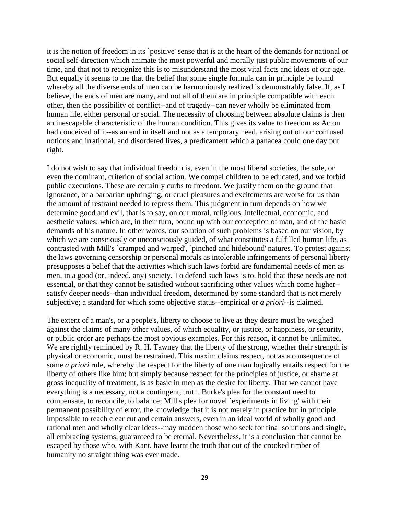it is the notion of freedom in its `positive' sense that is at the heart of the demands for national or social self-direction which animate the most powerful and morally just public movements of our time, and that not to recognize this is to misunderstand the most vital facts and ideas of our age. But equally it seems to me that the belief that some single formula can in principle be found whereby all the diverse ends of men can be harmoniously realized is demonstrably false. If, as I believe, the ends of men are many, and not all of them are in principle compatible with each other, then the possibility of conflict--and of tragedy--can never wholly be eliminated from human life, either personal or social. The necessity of choosing between absolute claims is then an inescapable characteristic of the human condition. This gives its value to freedom as Acton had conceived of it--as an end in itself and not as a temporary need, arising out of our confused notions and irrational. and disordered lives, a predicament which a panacea could one day put right.

I do not wish to say that individual freedom is, even in the most liberal societies, the sole, or even the dominant, criterion of social action. We compel children to be educated, and we forbid public executions. These are certainly curbs to freedom. We justify them on the ground that ignorance, or a barbarian upbringing, or cruel pleasures and excitements are worse for us than the amount of restraint needed to repress them. This judgment in turn depends on how we determine good and evil, that is to say, on our moral, religious, intellectual, economic, and aesthetic values; which are, in their turn, bound up with our conception of man, and of the basic demands of his nature. In other words, our solution of such problems is based on our vision, by which we are consciously or unconsciously guided, of what constitutes a fulfilled human life, as contrasted with Mill's `cramped and warped', `pinched and hidebound' natures. To protest against the laws governing censorship or personal morals as intolerable infringements of personal liberty presupposes a belief that the activities which such laws forbid are fundamental needs of men as men, in a good (or, indeed, any) society. To defend such laws is to. hold that these needs are not essential, or that they cannot be satisfied without sacrificing other values which come higher- satisfy deeper needs--than individual freedom, determined by some standard that is not merely subjective; a standard for which some objective status--empirical or *a priori*--is claimed.

The extent of a man's, or a people's, liberty to choose to live as they desire must be weighed against the claims of many other values, of which equality, or justice, or happiness, or security, or public order are perhaps the most obvious examples. For this reason, it cannot be unlimited. We are rightly reminded by R. H. Tawney that the liberty of the strong, whether their strength is physical or economic, must be restrained. This maxim claims respect, not as a consequence of some *a priori* rule, whereby the respect for the liberty of one man logically entails respect for the liberty of others like him; but simply because respect for the principles of justice, or shame at gross inequality of treatment, is as basic in men as the desire for liberty. That we cannot have everything is a necessary, not a contingent, truth. Burke's plea for the constant need to compensate, to reconcile, to balance; Mill's plea for novel `experiments in living' with their permanent possibility of error, the knowledge that it is not merely in practice but in principle impossible to reach clear cut and certain answers, even in an ideal world of wholly good and rational men and wholly clear ideas--may madden those who seek for final solutions and single, all embracing systems, guaranteed to be eternal. Nevertheless, it is a conclusion that cannot be escaped by those who, with Kant, have learnt the truth that out of the crooked timber of humanity no straight thing was ever made.